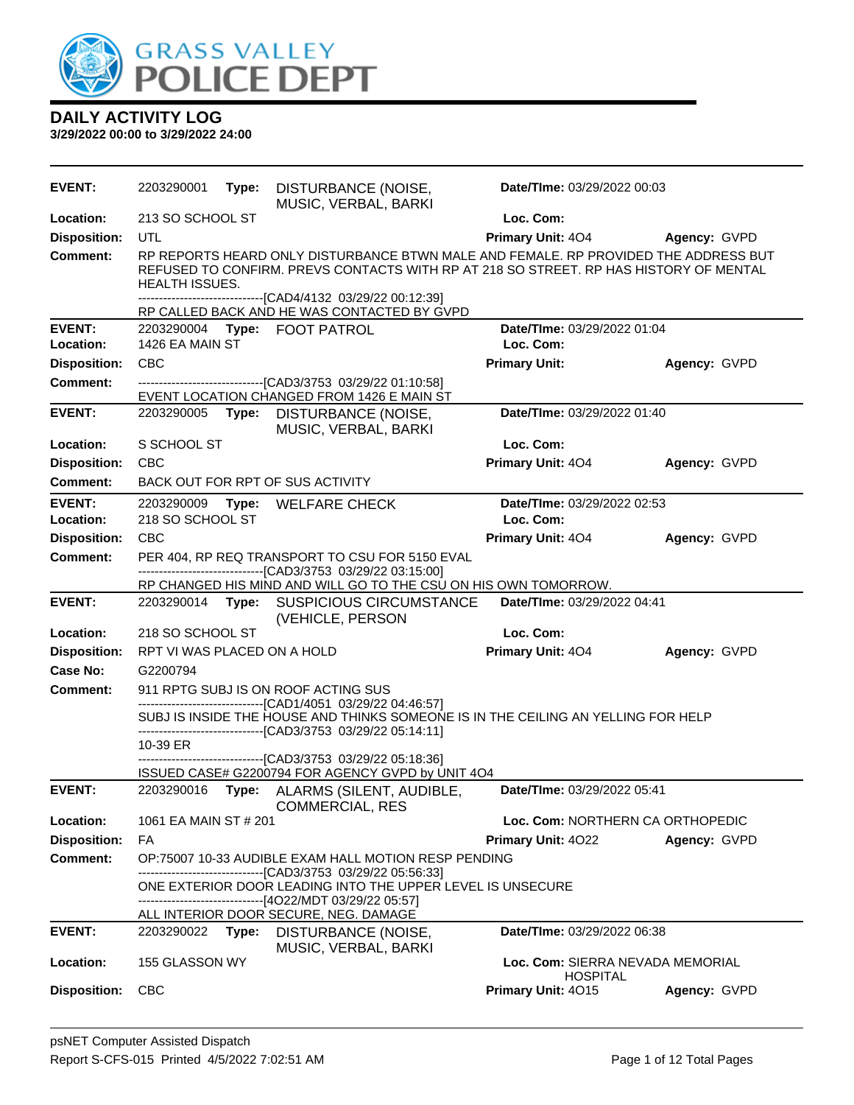

| <b>EVENT:</b>       | 2203290001                  | Type: | DISTURBANCE (NOISE,<br>MUSIC, VERBAL, BARKI                                                                                                                                       | Date/TIme: 03/29/2022 00:03                         |              |
|---------------------|-----------------------------|-------|-----------------------------------------------------------------------------------------------------------------------------------------------------------------------------------|-----------------------------------------------------|--------------|
| Location:           | 213 SO SCHOOL ST            |       |                                                                                                                                                                                   | Loc. Com:                                           |              |
| <b>Disposition:</b> | UTL                         |       |                                                                                                                                                                                   | <b>Primary Unit: 404</b>                            | Agency: GVPD |
| <b>Comment:</b>     | <b>HEALTH ISSUES.</b>       |       | RP REPORTS HEARD ONLY DISTURBANCE BTWN MALE AND FEMALE. RP PROVIDED THE ADDRESS BUT<br>REFUSED TO CONFIRM. PREVS CONTACTS WITH RP AT 218 SO STREET. RP HAS HISTORY OF MENTAL      |                                                     |              |
|                     |                             |       | ----------------------[CAD4/4132 03/29/22 00:12:39]<br>RP CALLED BACK AND HE WAS CONTACTED BY GVPD                                                                                |                                                     |              |
| <b>EVENT:</b>       | 2203290004                  |       | Type: FOOT PATROL                                                                                                                                                                 | Date/TIme: 03/29/2022 01:04                         |              |
| Location:           | 1426 EA MAIN ST             |       |                                                                                                                                                                                   | Loc. Com:                                           |              |
| <b>Disposition:</b> | <b>CBC</b>                  |       |                                                                                                                                                                                   | <b>Primary Unit:</b>                                | Agency: GVPD |
| <b>Comment:</b>     |                             |       | --------------------------------[CAD3/3753 03/29/22 01:10:58]<br>EVENT LOCATION CHANGED FROM 1426 E MAIN ST                                                                       |                                                     |              |
| <b>EVENT:</b>       | 2203290005                  | Type: | DISTURBANCE (NOISE,<br>MUSIC, VERBAL, BARKI                                                                                                                                       | Date/TIme: 03/29/2022 01:40                         |              |
| Location:           | S SCHOOL ST                 |       |                                                                                                                                                                                   | Loc. Com:                                           |              |
| <b>Disposition:</b> | <b>CBC</b>                  |       |                                                                                                                                                                                   | Primary Unit: 404                                   | Agency: GVPD |
| <b>Comment:</b>     |                             |       | BACK OUT FOR RPT OF SUS ACTIVITY                                                                                                                                                  |                                                     |              |
| <b>EVENT:</b>       | 2203290009                  | Type: | WELFARE CHECK                                                                                                                                                                     | Date/TIme: 03/29/2022 02:53                         |              |
| Location:           | 218 SO SCHOOL ST            |       |                                                                                                                                                                                   | Loc. Com:                                           |              |
| <b>Disposition:</b> | <b>CBC</b>                  |       |                                                                                                                                                                                   | Primary Unit: 404                                   | Agency: GVPD |
| <b>Comment:</b>     |                             |       | PER 404, RP REQ TRANSPORT TO CSU FOR 5150 EVAL<br>---------------------------------[CAD3/3753 03/29/22 03:15:00]                                                                  |                                                     |              |
|                     |                             |       | RP CHANGED HIS MIND AND WILL GO TO THE CSU ON HIS OWN TOMORROW.                                                                                                                   |                                                     |              |
| <b>EVENT:</b>       |                             |       | 2203290014 Type: SUSPICIOUS CIRCUMSTANCE<br>(VEHICLE, PERSON                                                                                                                      | Date/TIme: 03/29/2022 04:41                         |              |
| Location:           | 218 SO SCHOOL ST            |       |                                                                                                                                                                                   | Loc. Com:                                           |              |
| <b>Disposition:</b> | RPT VI WAS PLACED ON A HOLD |       |                                                                                                                                                                                   | Primary Unit: 404                                   | Agency: GVPD |
| <b>Case No:</b>     | G2200794                    |       |                                                                                                                                                                                   |                                                     |              |
| <b>Comment:</b>     |                             |       | 911 RPTG SUBJ IS ON ROOF ACTING SUS<br>------------------------------[CAD1/4051 03/29/22 04:46:57]                                                                                |                                                     |              |
|                     |                             |       | SUBJ IS INSIDE THE HOUSE AND THINKS SOMEONE IS IN THE CEILING AN YELLING FOR HELP<br>-------------------------------[CAD3/3753 03/29/22 05:14:11]                                 |                                                     |              |
|                     | 10-39 ER                    |       |                                                                                                                                                                                   |                                                     |              |
|                     |                             |       | -------------------------[CAD3/3753 03/29/22 05:18:36]<br>ISSUED CASE# G2200794 FOR AGENCY GVPD by UNIT 4O4                                                                       |                                                     |              |
| <b>EVENT:</b>       | 2203290016                  |       | Type: ALARMS (SILENT, AUDIBLE,<br><b>COMMERCIAL, RES</b>                                                                                                                          | Date/TIme: 03/29/2022 05:41                         |              |
| Location:           | 1061 EA MAIN ST # 201       |       |                                                                                                                                                                                   | Loc. Com: NORTHERN CA ORTHOPEDIC                    |              |
| <b>Disposition:</b> | FA                          |       |                                                                                                                                                                                   | <b>Primary Unit: 4022</b>                           | Agency: GVPD |
| <b>Comment:</b>     |                             |       | OP:75007 10-33 AUDIBLE EXAM HALL MOTION RESP PENDING                                                                                                                              |                                                     |              |
|                     |                             |       | --------------------------[CAD3/3753_03/29/22_05:56:33]<br>ONE EXTERIOR DOOR LEADING INTO THE UPPER LEVEL IS UNSECURE<br>-------------------------------[4O22/MDT 03/29/22 05:57] |                                                     |              |
|                     |                             |       | ALL INTERIOR DOOR SECURE, NEG. DAMAGE                                                                                                                                             |                                                     |              |
| <b>EVENT:</b>       | 2203290022                  | Type: | DISTURBANCE (NOISE,<br>MUSIC, VERBAL, BARKI                                                                                                                                       | Date/TIme: 03/29/2022 06:38                         |              |
| Location:           | 155 GLASSON WY              |       |                                                                                                                                                                                   | Loc. Com: SIERRA NEVADA MEMORIAL<br><b>HOSPITAL</b> |              |
| <b>Disposition:</b> | <b>CBC</b>                  |       |                                                                                                                                                                                   | Primary Unit: 4015                                  | Agency: GVPD |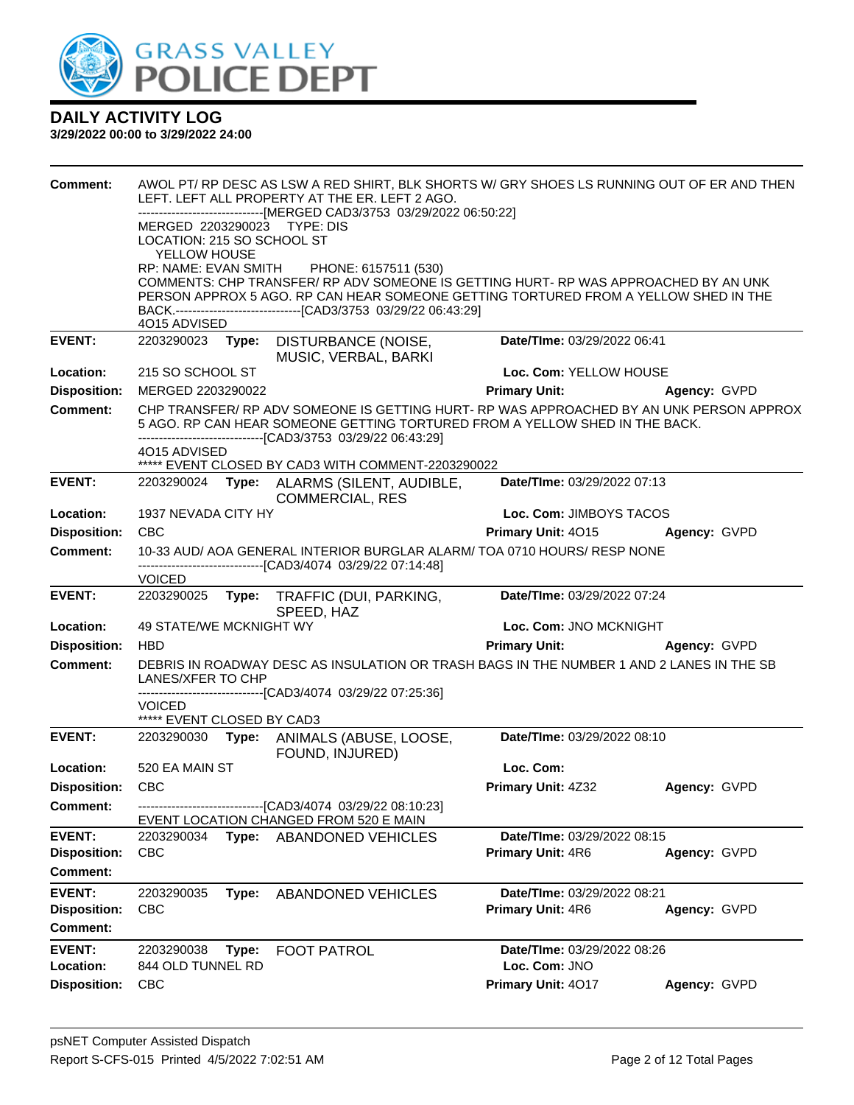

| <b>Comment:</b><br><b>EVENT:</b>       | AWOL PT/ RP DESC AS LSW A RED SHIRT, BLK SHORTS W/ GRY SHOES LS RUNNING OUT OF ER AND THEN<br>LEFT. LEFT ALL PROPERTY AT THE ER. LEFT 2 AGO.<br>------------------------------[MERGED CAD3/3753 03/29/2022 06:50:22]<br>MERGED 2203290023 TYPE: DIS<br>LOCATION: 215 SO SCHOOL ST<br>YELLOW HOUSE<br>RP: NAME: EVAN SMITH<br>PHONE: 6157511 (530)<br>COMMENTS: CHP TRANSFER/ RP ADV SOMEONE IS GETTING HURT- RP WAS APPROACHED BY AN UNK<br>PERSON APPROX 5 AGO. RP CAN HEAR SOMEONE GETTING TORTURED FROM A YELLOW SHED IN THE<br>BACK.--------------------------------[CAD3/3753 03/29/22 06:43:29]<br>4O15 ADVISED<br>2203290023 Type: DISTURBANCE (NOISE,<br>Date/TIme: 03/29/2022 06:41 |       |                                                                                                                                                                                                                                                                                              |                             |              |
|----------------------------------------|----------------------------------------------------------------------------------------------------------------------------------------------------------------------------------------------------------------------------------------------------------------------------------------------------------------------------------------------------------------------------------------------------------------------------------------------------------------------------------------------------------------------------------------------------------------------------------------------------------------------------------------------------------------------------------------------|-------|----------------------------------------------------------------------------------------------------------------------------------------------------------------------------------------------------------------------------------------------------------------------------------------------|-----------------------------|--------------|
|                                        |                                                                                                                                                                                                                                                                                                                                                                                                                                                                                                                                                                                                                                                                                              |       | MUSIC, VERBAL, BARKI                                                                                                                                                                                                                                                                         |                             |              |
| Location:                              | 215 SO SCHOOL ST                                                                                                                                                                                                                                                                                                                                                                                                                                                                                                                                                                                                                                                                             |       |                                                                                                                                                                                                                                                                                              | Loc. Com: YELLOW HOUSE      |              |
| <b>Disposition:</b>                    | MERGED 2203290022                                                                                                                                                                                                                                                                                                                                                                                                                                                                                                                                                                                                                                                                            |       |                                                                                                                                                                                                                                                                                              | <b>Primary Unit:</b>        | Agency: GVPD |
| <b>Comment:</b>                        | 4O15 ADVISED                                                                                                                                                                                                                                                                                                                                                                                                                                                                                                                                                                                                                                                                                 |       | CHP TRANSFER/ RP ADV SOMEONE IS GETTING HURT- RP WAS APPROACHED BY AN UNK PERSON APPROX<br>5 AGO. RP CAN HEAR SOMEONE GETTING TORTURED FROM A YELLOW SHED IN THE BACK.<br>-------------------------------[CAD3/3753_03/29/22_06:43:29]<br>***** EVENT CLOSED BY CAD3 WITH COMMENT-2203290022 |                             |              |
| <b>EVENT:</b>                          |                                                                                                                                                                                                                                                                                                                                                                                                                                                                                                                                                                                                                                                                                              |       | 2203290024 Type: ALARMS (SILENT, AUDIBLE,<br><b>COMMERCIAL, RES</b>                                                                                                                                                                                                                          | Date/TIme: 03/29/2022 07:13 |              |
| Location:                              | 1937 NEVADA CITY HY                                                                                                                                                                                                                                                                                                                                                                                                                                                                                                                                                                                                                                                                          |       |                                                                                                                                                                                                                                                                                              | Loc. Com: JIMBOYS TACOS     |              |
| <b>Disposition:</b>                    | <b>CBC</b>                                                                                                                                                                                                                                                                                                                                                                                                                                                                                                                                                                                                                                                                                   |       |                                                                                                                                                                                                                                                                                              | Primary Unit: 4015          | Agency: GVPD |
| <b>Comment:</b>                        |                                                                                                                                                                                                                                                                                                                                                                                                                                                                                                                                                                                                                                                                                              |       | 10-33 AUD/ AOA GENERAL INTERIOR BURGLAR ALARM/ TOA 0710 HOURS/ RESP NONE<br>---------------------------------[CAD3/4074_03/29/22_07:14:48]                                                                                                                                                   |                             |              |
|                                        | <b>VOICED</b>                                                                                                                                                                                                                                                                                                                                                                                                                                                                                                                                                                                                                                                                                |       |                                                                                                                                                                                                                                                                                              |                             |              |
| <b>EVENT:</b>                          | 2203290025                                                                                                                                                                                                                                                                                                                                                                                                                                                                                                                                                                                                                                                                                   | Type: | TRAFFIC (DUI, PARKING,                                                                                                                                                                                                                                                                       | Date/TIme: 03/29/2022 07:24 |              |
| Location:                              | 49 STATE/WE MCKNIGHT WY                                                                                                                                                                                                                                                                                                                                                                                                                                                                                                                                                                                                                                                                      |       | SPEED, HAZ                                                                                                                                                                                                                                                                                   | Loc. Com: JNO MCKNIGHT      |              |
| <b>Disposition:</b>                    | <b>HBD</b>                                                                                                                                                                                                                                                                                                                                                                                                                                                                                                                                                                                                                                                                                   |       |                                                                                                                                                                                                                                                                                              | <b>Primary Unit:</b>        | Agency: GVPD |
| <b>Comment:</b>                        | LANES/XFER TO CHP                                                                                                                                                                                                                                                                                                                                                                                                                                                                                                                                                                                                                                                                            |       | DEBRIS IN ROADWAY DESC AS INSULATION OR TRASH BAGS IN THE NUMBER 1 AND 2 LANES IN THE SB                                                                                                                                                                                                     |                             |              |
|                                        | <b>VOICED</b><br>***** EVENT CLOSED BY CAD3                                                                                                                                                                                                                                                                                                                                                                                                                                                                                                                                                                                                                                                  |       | -------------------------------[CAD3/4074_03/29/22 07:25:36]                                                                                                                                                                                                                                 |                             |              |
| <b>EVENT:</b>                          | 2203290030                                                                                                                                                                                                                                                                                                                                                                                                                                                                                                                                                                                                                                                                                   |       | Type: ANIMALS (ABUSE, LOOSE,<br>FOUND, INJURED)                                                                                                                                                                                                                                              | Date/TIme: 03/29/2022 08:10 |              |
| Location:                              | 520 EA MAIN ST                                                                                                                                                                                                                                                                                                                                                                                                                                                                                                                                                                                                                                                                               |       |                                                                                                                                                                                                                                                                                              | Loc. Com:                   |              |
| <b>Disposition:</b>                    | <b>CBC</b>                                                                                                                                                                                                                                                                                                                                                                                                                                                                                                                                                                                                                                                                                   |       |                                                                                                                                                                                                                                                                                              | Primary Unit: 4Z32          | Agency: GVPD |
| <b>Comment:</b>                        |                                                                                                                                                                                                                                                                                                                                                                                                                                                                                                                                                                                                                                                                                              |       | ------------------------------[CAD3/4074_03/29/22 08:10:23]<br>EVENT LOCATION CHANGED FROM 520 E MAIN                                                                                                                                                                                        |                             |              |
| <b>EVENT:</b>                          | 2203290034                                                                                                                                                                                                                                                                                                                                                                                                                                                                                                                                                                                                                                                                                   | Type: | <b>ABANDONED VEHICLES</b>                                                                                                                                                                                                                                                                    | Date/TIme: 03/29/2022 08:15 |              |
| <b>Disposition:</b><br><b>Comment:</b> | <b>CBC</b>                                                                                                                                                                                                                                                                                                                                                                                                                                                                                                                                                                                                                                                                                   |       |                                                                                                                                                                                                                                                                                              | Primary Unit: 4R6           | Agency: GVPD |
| <b>EVENT:</b>                          | 2203290035                                                                                                                                                                                                                                                                                                                                                                                                                                                                                                                                                                                                                                                                                   | Type: | <b>ABANDONED VEHICLES</b>                                                                                                                                                                                                                                                                    | Date/TIme: 03/29/2022 08:21 |              |
| <b>Disposition:</b><br><b>Comment:</b> | <b>CBC</b>                                                                                                                                                                                                                                                                                                                                                                                                                                                                                                                                                                                                                                                                                   |       |                                                                                                                                                                                                                                                                                              | Primary Unit: 4R6           | Agency: GVPD |
| <b>EVENT:</b>                          | 2203290038                                                                                                                                                                                                                                                                                                                                                                                                                                                                                                                                                                                                                                                                                   | Type: | <b>FOOT PATROL</b>                                                                                                                                                                                                                                                                           | Date/TIme: 03/29/2022 08:26 |              |
| Location:                              | 844 OLD TUNNEL RD                                                                                                                                                                                                                                                                                                                                                                                                                                                                                                                                                                                                                                                                            |       |                                                                                                                                                                                                                                                                                              | Loc. Com: JNO               |              |
| <b>Disposition:</b>                    | <b>CBC</b>                                                                                                                                                                                                                                                                                                                                                                                                                                                                                                                                                                                                                                                                                   |       |                                                                                                                                                                                                                                                                                              | Primary Unit: 4017          | Agency: GVPD |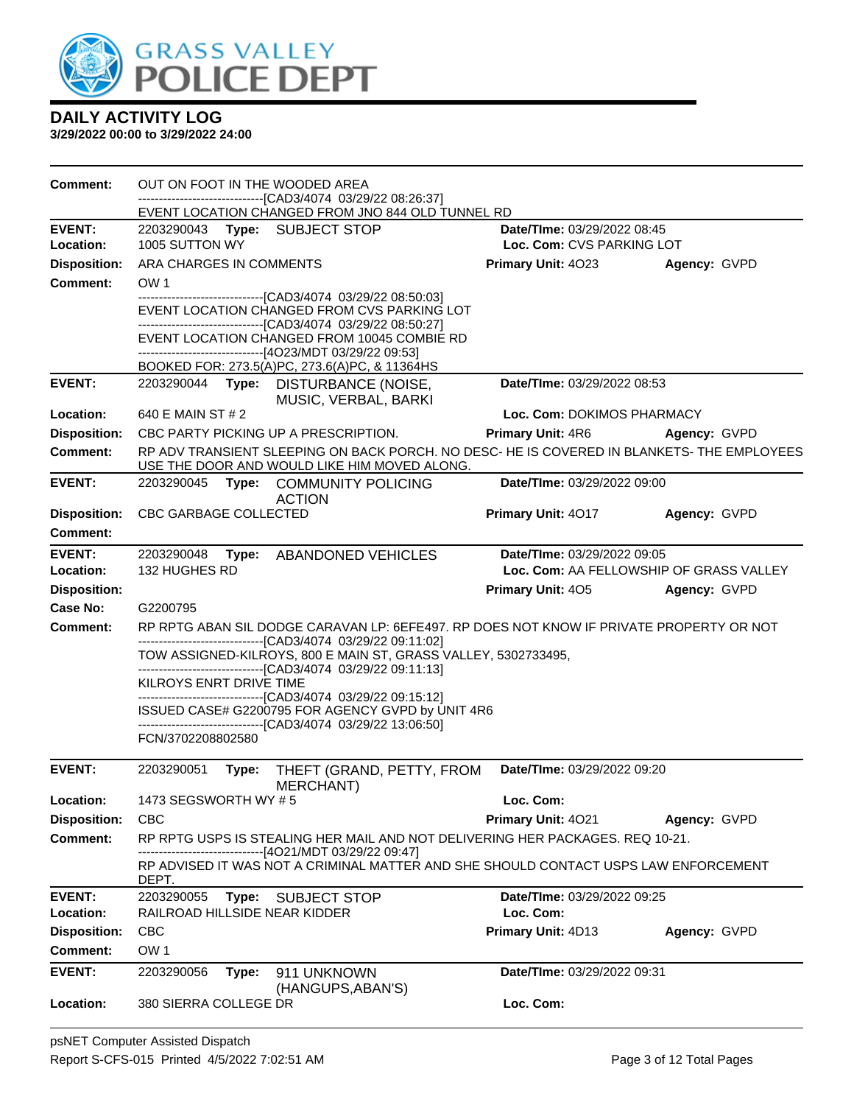

| <b>Comment:</b>            |                             |       | OUT ON FOOT IN THE WOODED AREA<br>-------------------------------[CAD3/4074 03/29/22 08:26:37]<br>EVENT LOCATION CHANGED FROM JNO 844 OLD TUNNEL RD                         |                                          |                                         |
|----------------------------|-----------------------------|-------|-----------------------------------------------------------------------------------------------------------------------------------------------------------------------------|------------------------------------------|-----------------------------------------|
| <b>EVENT:</b>              |                             |       | 2203290043 Type: SUBJECT STOP                                                                                                                                               | Date/TIme: 03/29/2022 08:45              |                                         |
| Location:                  | 1005 SUTTON WY              |       |                                                                                                                                                                             | Loc. Com: CVS PARKING LOT                |                                         |
| <b>Disposition:</b>        | ARA CHARGES IN COMMENTS     |       |                                                                                                                                                                             | Primary Unit: 4023                       | Agency: GVPD                            |
| Comment:                   | OW <sub>1</sub>             |       |                                                                                                                                                                             |                                          |                                         |
|                            |                             |       | -------------------------------[CAD3/4074 03/29/22 08:50:03]<br>EVENT LOCATION CHANGED FROM CVS PARKING LOT<br>-------------------------------[CAD3/4074 03/29/22 08:50:27] |                                          |                                         |
|                            |                             |       | EVENT LOCATION CHANGED FROM 10045 COMBIE RD<br>--------------------------------[4O23/MDT 03/29/22 09:53]                                                                    |                                          |                                         |
|                            |                             |       | BOOKED FOR: 273.5(A)PC, 273.6(A)PC, & 11364HS                                                                                                                               |                                          |                                         |
| <b>EVENT:</b>              | 2203290044 Type:            |       | DISTURBANCE (NOISE,<br>MUSIC, VERBAL, BARKI                                                                                                                                 | Date/TIme: 03/29/2022 08:53              |                                         |
| Location:                  | 640 E MAIN ST # 2           |       |                                                                                                                                                                             | Loc. Com: DOKIMOS PHARMACY               |                                         |
| <b>Disposition:</b>        |                             |       | CBC PARTY PICKING UP A PRESCRIPTION.                                                                                                                                        | Primary Unit: 4R6                        | Agency: GVPD                            |
| <b>Comment:</b>            |                             |       | RP ADV TRANSIENT SLEEPING ON BACK PORCH. NO DESC- HE IS COVERED IN BLANKETS- THE EMPLOYEES<br>USE THE DOOR AND WOULD LIKE HIM MOVED ALONG.                                  |                                          |                                         |
| <b>EVENT:</b>              |                             |       | 2203290045 Type: COMMUNITY POLICING<br><b>ACTION</b>                                                                                                                        | Date/TIme: 03/29/2022 09:00              |                                         |
| <b>Disposition:</b>        | CBC GARBAGE COLLECTED       |       |                                                                                                                                                                             | <b>Primary Unit: 4017</b>                | Agency: GVPD                            |
| <b>Comment:</b>            |                             |       |                                                                                                                                                                             |                                          |                                         |
| <b>EVENT:</b><br>Location: | 2203290048<br>132 HUGHES RD |       | Type: ABANDONED VEHICLES                                                                                                                                                    | Date/TIme: 03/29/2022 09:05              | Loc. Com: AA FELLOWSHIP OF GRASS VALLEY |
| <b>Disposition:</b>        |                             |       |                                                                                                                                                                             | <b>Primary Unit: 405</b>                 | Agency: GVPD                            |
| Case No:                   | G2200795                    |       |                                                                                                                                                                             |                                          |                                         |
| <b>Comment:</b>            |                             |       | RP RPTG ABAN SIL DODGE CARAVAN LP: 6EFE497. RP DOES NOT KNOW IF PRIVATE PROPERTY OR NOT                                                                                     |                                          |                                         |
|                            |                             |       | -------------------------------[CAD3/4074 03/29/22 09:11:02]                                                                                                                |                                          |                                         |
|                            |                             |       | TOW ASSIGNED-KILROYS, 800 E MAIN ST, GRASS VALLEY, 5302733495,<br>-------------------------------[CAD3/4074 03/29/22 09:11:13]                                              |                                          |                                         |
|                            | KILROYS ENRT DRIVE TIME     |       | ------------------------------[CAD3/4074_03/29/22 09:15:12]                                                                                                                 |                                          |                                         |
|                            |                             |       | ISSUED CASE# G2200795 FOR AGENCY GVPD by UNIT 4R6<br>-------------------------------[CAD3/4074 03/29/22 13:06:50]                                                           |                                          |                                         |
|                            | FCN/3702208802580           |       |                                                                                                                                                                             |                                          |                                         |
| <b>EVENT:</b>              | 2203290051                  | Type: | THEFT (GRAND, PETTY, FROM<br><b>MERCHANT</b> )                                                                                                                              | Date/TIme: 03/29/2022 09:20              |                                         |
| Location:                  | 1473 SEGSWORTH WY #5        |       |                                                                                                                                                                             | Loc. Com:                                |                                         |
| <b>Disposition:</b>        | <b>CBC</b>                  |       |                                                                                                                                                                             | <b>Primary Unit: 4021</b>                | Agency: GVPD                            |
| <b>Comment:</b>            |                             |       | RP RPTG USPS IS STEALING HER MAIL AND NOT DELIVERING HER PACKAGES. REQ 10-21.<br>------------------------[4O21/MDT 03/29/22 09:47]                                          |                                          |                                         |
|                            | DEPT.                       |       | RP ADVISED IT WAS NOT A CRIMINAL MATTER AND SHE SHOULD CONTACT USPS LAW ENFORCEMENT                                                                                         |                                          |                                         |
| <b>EVENT:</b><br>Location: | 2203290055                  |       | Type: SUBJECT STOP<br>RAILROAD HILLSIDE NEAR KIDDER                                                                                                                         | Date/TIme: 03/29/2022 09:25<br>Loc. Com: |                                         |
| <b>Disposition:</b>        | <b>CBC</b>                  |       |                                                                                                                                                                             | Primary Unit: 4D13                       | Agency: GVPD                            |
| Comment:                   | OW <sub>1</sub>             |       |                                                                                                                                                                             |                                          |                                         |
| <b>EVENT:</b>              | 2203290056                  | Type: | 911 UNKNOWN<br>(HANGUPS, ABAN'S)                                                                                                                                            | Date/TIme: 03/29/2022 09:31              |                                         |
| Location:                  | 380 SIERRA COLLEGE DR       |       |                                                                                                                                                                             | Loc. Com:                                |                                         |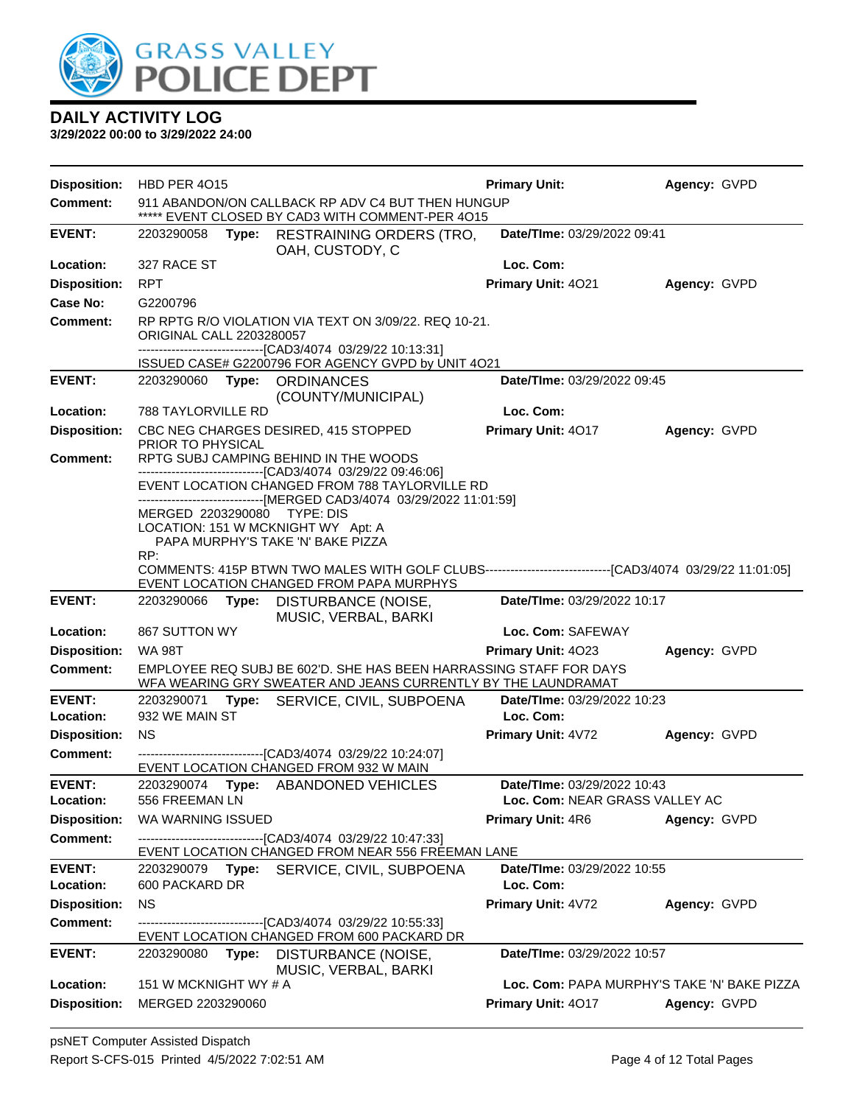

| <b>Disposition:</b>                    | HBD PER 4015                               |       |                                                                                                                                                                                       | <b>Primary Unit:</b>                                              | Agency: GVPD |
|----------------------------------------|--------------------------------------------|-------|---------------------------------------------------------------------------------------------------------------------------------------------------------------------------------------|-------------------------------------------------------------------|--------------|
| <b>Comment:</b>                        |                                            |       | 911 ABANDON/ON CALLBACK RP ADV C4 BUT THEN HUNGUP<br>***** EVENT CLOSED BY CAD3 WITH COMMENT-PER 4015                                                                                 |                                                                   |              |
| <b>EVENT:</b>                          | 2203290058                                 |       | Type: RESTRAINING ORDERS (TRO,<br>OAH, CUSTODY, C                                                                                                                                     | Date/TIme: 03/29/2022 09:41                                       |              |
| Location:                              | 327 RACE ST                                |       |                                                                                                                                                                                       | Loc. Com:                                                         |              |
| <b>Disposition:</b>                    | <b>RPT</b>                                 |       |                                                                                                                                                                                       | Primary Unit: 4021                                                | Agency: GVPD |
| Case No:                               | G2200796                                   |       |                                                                                                                                                                                       |                                                                   |              |
| Comment:                               | <b>ORIGINAL CALL 2203280057</b>            |       | RP RPTG R/O VIOLATION VIA TEXT ON 3/09/22. REQ 10-21.<br>-------------------------------[CAD3/4074_03/29/22 10:13:31]                                                                 |                                                                   |              |
|                                        |                                            |       | ISSUED CASE# G2200796 FOR AGENCY GVPD by UNIT 4O21                                                                                                                                    |                                                                   |              |
| <b>EVENT:</b>                          |                                            |       | 2203290060 Type: ORDINANCES<br>(COUNTY/MUNICIPAL)                                                                                                                                     | Date/TIme: 03/29/2022 09:45                                       |              |
| Location:                              | 788 TAYLORVILLE RD                         |       |                                                                                                                                                                                       | Loc. Com:                                                         |              |
| <b>Disposition:</b><br><b>Comment:</b> | PRIOR TO PHYSICAL                          |       | CBC NEG CHARGES DESIRED, 415 STOPPED<br>RPTG SUBJ CAMPING BEHIND IN THE WOODS                                                                                                         | Primary Unit: 4017                                                | Agency: GVPD |
|                                        |                                            |       | ------------------------------[CAD3/4074_03/29/22_09:46:06]<br>EVENT LOCATION CHANGED FROM 788 TAYLORVILLE RD<br>------------------------------[MERGED CAD3/4074 03/29/2022 11:01:59] |                                                                   |              |
|                                        | MERGED 2203290080 TYPE: DIS                |       | LOCATION: 151 W MCKNIGHT WY Apt: A<br>PAPA MURPHY'S TAKE 'N' BAKE PIZZA                                                                                                               |                                                                   |              |
|                                        | RP:                                        |       | COMMENTS: 415P BTWN TWO MALES WITH GOLF CLUBS-------------------------------[CAD3/4074 03/29/22 11:01:05]<br>EVENT LOCATION CHANGED FROM PAPA MURPHYS                                 |                                                                   |              |
|                                        |                                            |       |                                                                                                                                                                                       |                                                                   |              |
| <b>EVENT:</b>                          | 2203290066                                 | Type: | DISTURBANCE (NOISE,<br>MUSIC, VERBAL, BARKI                                                                                                                                           | Date/TIme: 03/29/2022 10:17                                       |              |
| Location:                              | 867 SUTTON WY                              |       |                                                                                                                                                                                       | Loc. Com: SAFEWAY                                                 |              |
| <b>Disposition:</b>                    | <b>WA 98T</b>                              |       |                                                                                                                                                                                       | Primary Unit: 4023                                                | Agency: GVPD |
| <b>Comment:</b>                        |                                            |       | EMPLOYEE REQ SUBJ BE 602'D. SHE HAS BEEN HARRASSING STAFF FOR DAYS<br>WFA WEARING GRY SWEATER AND JEANS CURRENTLY BY THE LAUNDRAMAT                                                   |                                                                   |              |
| <b>EVENT:</b>                          | 2203290071                                 |       | Type: SERVICE, CIVIL, SUBPOENA                                                                                                                                                        | Date/TIme: 03/29/2022 10:23                                       |              |
| Location:                              | 932 WE MAIN ST                             |       |                                                                                                                                                                                       | Loc. Com:                                                         |              |
| <b>Disposition:</b>                    | <b>NS</b>                                  |       |                                                                                                                                                                                       | Primary Unit: 4V72                                                | Agency: GVPD |
| <b>Comment:</b>                        |                                            |       | -------------------------------[CAD3/4074 03/29/22 10:24:07]<br>EVENT LOCATION CHANGED FROM 932 W MAIN                                                                                |                                                                   |              |
| <b>EVENT:</b>                          | 2203290074                                 |       | Type: ABANDONED VEHICLES                                                                                                                                                              | Date/TIme: 03/29/2022 10:43                                       |              |
| Location:                              | 556 FREEMAN LN                             |       |                                                                                                                                                                                       | Loc. Com: NEAR GRASS VALLEY AC                                    |              |
| <b>Disposition:</b>                    | WA WARNING ISSUED                          |       |                                                                                                                                                                                       | Primary Unit: 4R6                                                 | Agency: GVPD |
| <b>Comment:</b>                        |                                            |       | --------------------------[CAD3/4074_03/29/22 10:47:33]<br>EVENT LOCATION CHANGED FROM NEAR 556 FREEMAN LANE                                                                          |                                                                   |              |
| <b>EVENT:</b>                          |                                            |       | 2203290079 Type: SERVICE, CIVIL, SUBPOENA                                                                                                                                             | Date/TIme: 03/29/2022 10:55                                       |              |
| Location:                              | 600 PACKARD DR                             |       |                                                                                                                                                                                       | Loc. Com:                                                         |              |
| <b>Disposition:</b>                    | <b>NS</b>                                  |       |                                                                                                                                                                                       | Primary Unit: 4V72                                                | Agency: GVPD |
| <b>Comment:</b>                        |                                            |       | -------------------------[CAD3/4074_03/29/22 10:55:33]<br>EVENT LOCATION CHANGED FROM 600 PACKARD DR                                                                                  |                                                                   |              |
| <b>EVENT:</b>                          | 2203290080                                 | Type: | DISTURBANCE (NOISE,<br>MUSIC, VERBAL, BARKI                                                                                                                                           | Date/TIme: 03/29/2022 10:57                                       |              |
| Location:<br><b>Disposition:</b>       | 151 W MCKNIGHT WY # A<br>MERGED 2203290060 |       |                                                                                                                                                                                       | Loc. Com: PAPA MURPHY'S TAKE 'N' BAKE PIZZA<br>Primary Unit: 4017 | Agency: GVPD |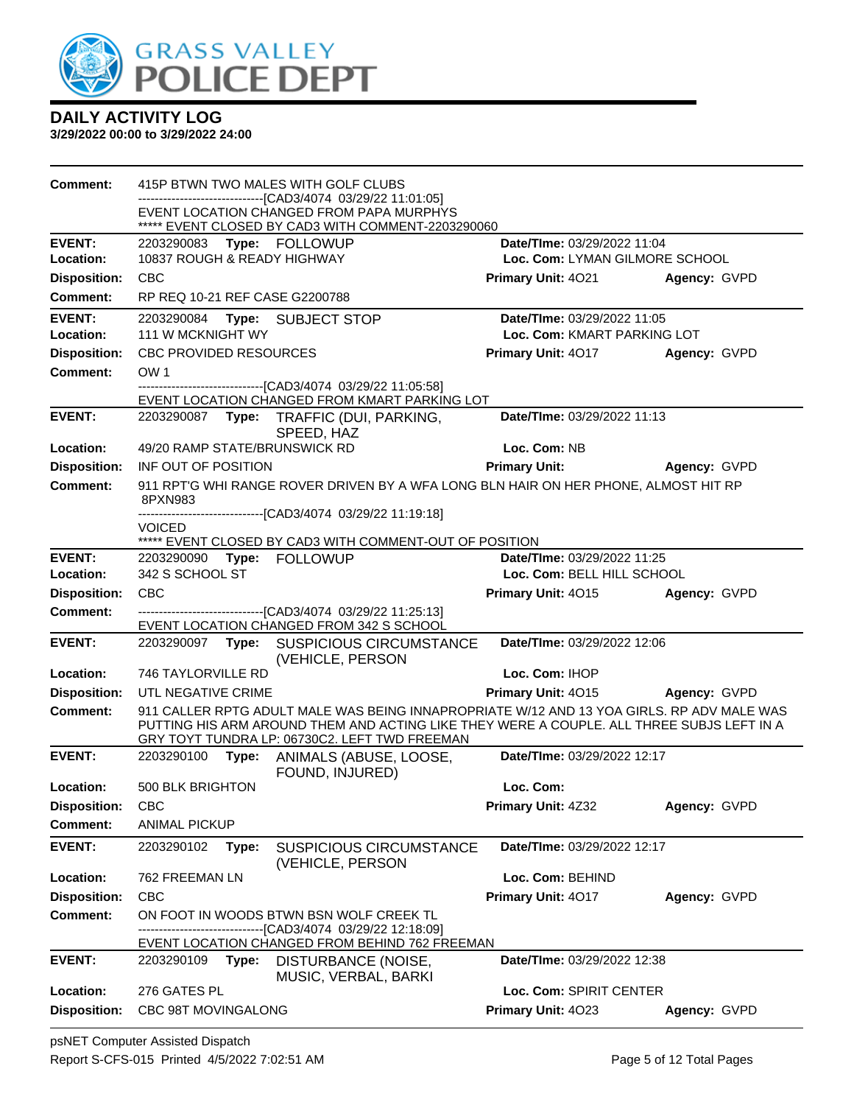

**3/29/2022 00:00 to 3/29/2022 24:00**

| Comment:            | 415P BTWN TWO MALES WITH GOLF CLUBS                                                                                                                                                                                                     |                                |              |
|---------------------|-----------------------------------------------------------------------------------------------------------------------------------------------------------------------------------------------------------------------------------------|--------------------------------|--------------|
|                     | -------------------------[CAD3/4074_03/29/22_11:01:05]<br>EVENT LOCATION CHANGED FROM PAPA MURPHYS<br>***** EVENT CLOSED BY CAD3 WITH COMMENT-2203290060                                                                                |                                |              |
| <b>EVENT:</b>       | 2203290083<br><b>Type: FOLLOWUP</b>                                                                                                                                                                                                     | Date/TIme: 03/29/2022 11:04    |              |
| Location:           | 10837 ROUGH & READY HIGHWAY                                                                                                                                                                                                             | Loc. Com: LYMAN GILMORE SCHOOL |              |
| <b>Disposition:</b> | <b>CBC</b>                                                                                                                                                                                                                              | <b>Primary Unit: 4021</b>      | Agency: GVPD |
| <b>Comment:</b>     | RP REQ 10-21 REF CASE G2200788                                                                                                                                                                                                          |                                |              |
| <b>EVENT:</b>       | 2203290084<br>Type: SUBJECT STOP                                                                                                                                                                                                        | Date/TIme: 03/29/2022 11:05    |              |
| Location:           | 111 W MCKNIGHT WY                                                                                                                                                                                                                       | Loc. Com: KMART PARKING LOT    |              |
| <b>Disposition:</b> | <b>CBC PROVIDED RESOURCES</b>                                                                                                                                                                                                           | Primary Unit: 4017             | Agency: GVPD |
| Comment:            | OW <sub>1</sub>                                                                                                                                                                                                                         |                                |              |
|                     | --------------------------------[CAD3/4074 03/29/22 11:05:58]<br>EVENT LOCATION CHANGED FROM KMART PARKING LOT                                                                                                                          |                                |              |
| <b>EVENT:</b>       | 2203290087<br>Type: TRAFFIC (DUI, PARKING,                                                                                                                                                                                              | Date/TIme: 03/29/2022 11:13    |              |
|                     | SPEED, HAZ                                                                                                                                                                                                                              |                                |              |
| Location:           | 49/20 RAMP STATE/BRUNSWICK RD                                                                                                                                                                                                           | Loc. Com: NB                   |              |
| <b>Disposition:</b> | INF OUT OF POSITION                                                                                                                                                                                                                     | <b>Primary Unit:</b>           | Agency: GVPD |
| Comment:            | 911 RPT'G WHI RANGE ROVER DRIVEN BY A WFA LONG BLN HAIR ON HER PHONE, ALMOST HIT RP<br>8PXN983                                                                                                                                          |                                |              |
|                     | -------------------------------[CAD3/4074_03/29/22 11:19:18]<br><b>VOICED</b>                                                                                                                                                           |                                |              |
|                     | ***** EVENT CLOSED BY CAD3 WITH COMMENT-OUT OF POSITION                                                                                                                                                                                 |                                |              |
| <b>EVENT:</b>       | 2203290090<br><b>FOLLOWUP</b><br>Type:                                                                                                                                                                                                  | Date/TIme: 03/29/2022 11:25    |              |
| Location:           | 342 S SCHOOL ST                                                                                                                                                                                                                         | Loc. Com: BELL HILL SCHOOL     |              |
| <b>Disposition:</b> | <b>CBC</b>                                                                                                                                                                                                                              | <b>Primary Unit: 4015</b>      | Agency: GVPD |
| <b>Comment:</b>     | ----------------------[CAD3/4074 03/29/22 11:25:13]<br>EVENT LOCATION CHANGED FROM 342 S SCHOOL                                                                                                                                         |                                |              |
| <b>EVENT:</b>       | <b>SUSPICIOUS CIRCUMSTANCE</b><br>2203290097<br>Type:<br>(VEHICLE, PERSON                                                                                                                                                               | Date/TIme: 03/29/2022 12:06    |              |
| Location:           | 746 TAYLORVILLE RD                                                                                                                                                                                                                      | Loc. Com: IHOP                 |              |
| <b>Disposition:</b> | UTL NEGATIVE CRIME                                                                                                                                                                                                                      | Primary Unit: 4015             | Agency: GVPD |
| <b>Comment:</b>     | 911 CALLER RPTG ADULT MALE WAS BEING INNAPROPRIATE W/12 AND 13 YOA GIRLS. RP ADV MALE WAS<br>PUTTING HIS ARM AROUND THEM AND ACTING LIKE THEY WERE A COUPLE. ALL THREE SUBJS LEFT IN A<br>GRY TOYT TUNDRA LP: 06730C2. LEFT TWD FREEMAN |                                |              |
| <b>EVENT:</b>       | 2203290100<br>ANIMALS (ABUSE, LOOSE,<br>Type:<br>FOUND, INJURED)                                                                                                                                                                        | Date/TIme: 03/29/2022 12:17    |              |
| Location:           | 500 BLK BRIGHTON                                                                                                                                                                                                                        | Loc. Com:                      |              |
| <b>Disposition:</b> | <b>CBC</b>                                                                                                                                                                                                                              | Primary Unit: 4Z32             | Agency: GVPD |
| <b>Comment:</b>     | <b>ANIMAL PICKUP</b>                                                                                                                                                                                                                    |                                |              |
| <b>EVENT:</b>       | 2203290102<br><b>SUSPICIOUS CIRCUMSTANCE</b><br>Type:<br>(VEHICLE, PERSON                                                                                                                                                               | Date/TIme: 03/29/2022 12:17    |              |
| Location:           | 762 FREEMAN LN                                                                                                                                                                                                                          | Loc. Com: BEHIND               |              |
| <b>Disposition:</b> | CBC                                                                                                                                                                                                                                     | Primary Unit: 4017             | Agency: GVPD |
| <b>Comment:</b>     | ON FOOT IN WOODS BTWN BSN WOLF CREEK TL<br>------------------[CAD3/4074_03/29/22 12:18:09]                                                                                                                                              |                                |              |
|                     | EVENT LOCATION CHANGED FROM BEHIND 762 FREEMAN                                                                                                                                                                                          |                                |              |
| <b>EVENT:</b>       | 2203290109<br>Type:<br>DISTURBANCE (NOISE,<br>MUSIC, VERBAL, BARKI                                                                                                                                                                      | Date/TIme: 03/29/2022 12:38    |              |
| Location:           | 276 GATES PL                                                                                                                                                                                                                            | Loc. Com: SPIRIT CENTER        |              |
| <b>Disposition:</b> | CBC 98T MOVINGALONG                                                                                                                                                                                                                     | Primary Unit: 4023             | Agency: GVPD |

psNET Computer Assisted Dispatch Report S-CFS-015 Printed 4/5/2022 7:02:51 AM Page 5 of 12 Total Pages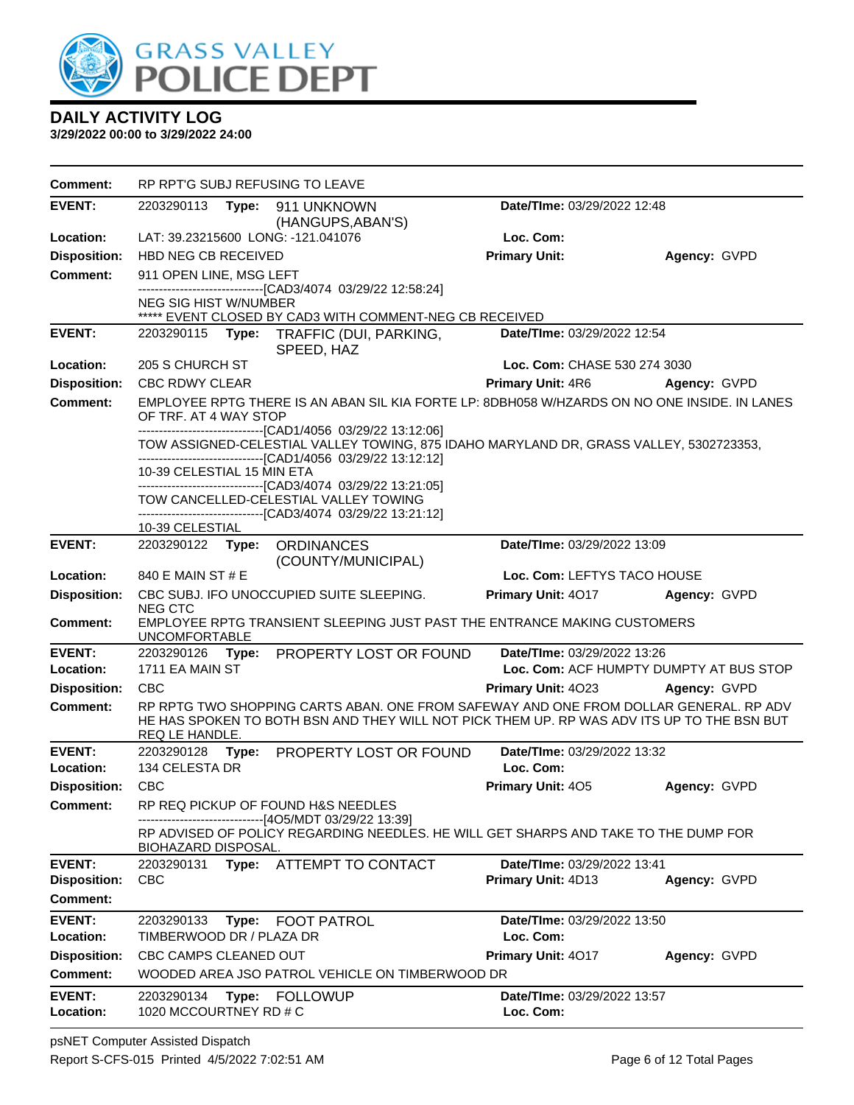

| <b>Comment:</b>                      |                                        |       | RP RPT'G SUBJ REFUSING TO LEAVE                                                                                                                                                                                                                        |                                                   |                                         |
|--------------------------------------|----------------------------------------|-------|--------------------------------------------------------------------------------------------------------------------------------------------------------------------------------------------------------------------------------------------------------|---------------------------------------------------|-----------------------------------------|
| <b>EVENT:</b>                        | 2203290113                             |       | Type: 911 UNKNOWN<br>(HANGUPS, ABAN'S)                                                                                                                                                                                                                 | <b>Date/TIme: 03/29/2022 12:48</b>                |                                         |
| Location:                            |                                        |       | LAT: 39.23215600 LONG: -121.041076                                                                                                                                                                                                                     | Loc. Com:                                         |                                         |
| <b>Disposition:</b>                  | <b>HBD NEG CB RECEIVED</b>             |       |                                                                                                                                                                                                                                                        | <b>Primary Unit:</b>                              | Agency: GVPD                            |
| <b>Comment:</b>                      | 911 OPEN LINE, MSG LEFT                |       |                                                                                                                                                                                                                                                        |                                                   |                                         |
|                                      | <b>NEG SIG HIST W/NUMBER</b>           |       | -------------------------------[CAD3/4074 03/29/22 12:58:24]<br>***** EVENT CLOSED BY CAD3 WITH COMMENT-NEG CB RECEIVED                                                                                                                                |                                                   |                                         |
| <b>EVENT:</b>                        |                                        |       | 2203290115 Type: TRAFFIC (DUI, PARKING,<br>SPEED, HAZ                                                                                                                                                                                                  | Date/TIme: 03/29/2022 12:54                       |                                         |
| Location:                            | 205 S CHURCH ST                        |       |                                                                                                                                                                                                                                                        | Loc. Com: CHASE 530 274 3030                      |                                         |
| <b>Disposition:</b>                  | <b>CBC RDWY CLEAR</b>                  |       |                                                                                                                                                                                                                                                        | Primary Unit: 4R6                                 | Agency: GVPD                            |
| <b>Comment:</b>                      | OF TRF. AT 4 WAY STOP                  |       | EMPLOYEE RPTG THERE IS AN ABAN SIL KIA FORTE LP: 8DBH058 W/HZARDS ON NO ONE INSIDE. IN LANES<br>-------------------------------[CAD1/4056 03/29/22 13:12:06]<br>TOW ASSIGNED-CELESTIAL VALLEY TOWING, 875 IDAHO MARYLAND DR, GRASS VALLEY, 5302723353, |                                                   |                                         |
|                                      | 10-39 CELESTIAL 15 MIN ETA             |       | -------------------------------[CAD1/4056 03/29/22 13:12:12]<br>-------------------------------[CAD3/4074 03/29/22 13:21:05]<br>TOW CANCELLED-CELESTIAL VALLEY TOWING<br>--------------------------------[CAD3/4074 03/29/22 13:21:12]                 |                                                   |                                         |
| <b>EVENT:</b>                        | 10-39 CELESTIAL<br>2203290122 Type:    |       |                                                                                                                                                                                                                                                        | Date/TIme: 03/29/2022 13:09                       |                                         |
|                                      |                                        |       | <b>ORDINANCES</b><br>(COUNTY/MUNICIPAL)                                                                                                                                                                                                                |                                                   |                                         |
| Location:                            | 840 E MAIN ST # E                      |       |                                                                                                                                                                                                                                                        | Loc. Com: LEFTYS TACO HOUSE                       |                                         |
| <b>Disposition:</b>                  | <b>NEG CTC</b>                         |       | CBC SUBJ. IFO UNOCCUPIED SUITE SLEEPING.                                                                                                                                                                                                               | Primary Unit: 4017                                | Agency: GVPD                            |
| <b>Comment:</b>                      | <b>UNCOMFORTABLE</b>                   |       | EMPLOYEE RPTG TRANSIENT SLEEPING JUST PAST THE ENTRANCE MAKING CUSTOMERS                                                                                                                                                                               |                                                   |                                         |
| <b>EVENT:</b><br>Location:           | 1711 EA MAIN ST                        |       | 2203290126 Type: PROPERTY LOST OR FOUND                                                                                                                                                                                                                | Date/TIme: 03/29/2022 13:26                       | Loc. Com: ACF HUMPTY DUMPTY AT BUS STOP |
| <b>Disposition:</b>                  | <b>CBC</b>                             |       |                                                                                                                                                                                                                                                        | <b>Primary Unit: 4023</b>                         | <b>Agency: GVPD</b>                     |
| Comment:                             | REQ LE HANDLE.                         |       | RP RPTG TWO SHOPPING CARTS ABAN. ONE FROM SAFEWAY AND ONE FROM DOLLAR GENERAL. RP ADV<br>HE HAS SPOKEN TO BOTH BSN AND THEY WILL NOT PICK THEM UP. RP WAS ADV ITS UP TO THE BSN BUT                                                                    |                                                   |                                         |
| <b>EVENT:</b><br>Location:           | 2203290128<br>134 CELESTA DR           |       | Type: PROPERTY LOST OR FOUND                                                                                                                                                                                                                           | Date/TIme: 03/29/2022 13:32<br>Loc. Com:          |                                         |
| <b>Disposition:</b>                  | <b>CBC</b>                             |       |                                                                                                                                                                                                                                                        | <b>Primary Unit: 405</b>                          | Agency: GVPD                            |
| <b>Comment:</b>                      |                                        |       | RP REQ PICKUP OF FOUND H&S NEEDLES                                                                                                                                                                                                                     |                                                   |                                         |
|                                      | BIOHAZARD DISPOSAL.                    |       | --[4O5/MDT 03/29/22 13:39]<br>RP ADVISED OF POLICY REGARDING NEEDLES. HE WILL GET SHARPS AND TAKE TO THE DUMP FOR                                                                                                                                      |                                                   |                                         |
| <b>EVENT:</b><br><b>Disposition:</b> | <b>CBC</b>                             |       | 2203290131 Type: ATTEMPT TO CONTACT                                                                                                                                                                                                                    | Date/TIme: 03/29/2022 13:41<br>Primary Unit: 4D13 | Agency: GVPD                            |
| Comment:                             |                                        |       |                                                                                                                                                                                                                                                        |                                                   |                                         |
| <b>EVENT:</b><br>Location:           | 2203290133<br>TIMBERWOOD DR / PLAZA DR | Type: | <b>FOOT PATROL</b>                                                                                                                                                                                                                                     | Date/TIme: 03/29/2022 13:50<br>Loc. Com:          |                                         |
| <b>Disposition:</b>                  | CBC CAMPS CLEANED OUT                  |       |                                                                                                                                                                                                                                                        | Primary Unit: 4017                                | Agency: GVPD                            |
| <b>Comment:</b>                      |                                        |       | WOODED AREA JSO PATROL VEHICLE ON TIMBERWOOD DR                                                                                                                                                                                                        |                                                   |                                         |
| <b>EVENT:</b><br>Location:           | 2203290134<br>1020 MCCOURTNEY RD # C   | Type: | <b>FOLLOWUP</b>                                                                                                                                                                                                                                        | Date/TIme: 03/29/2022 13:57<br>Loc. Com:          |                                         |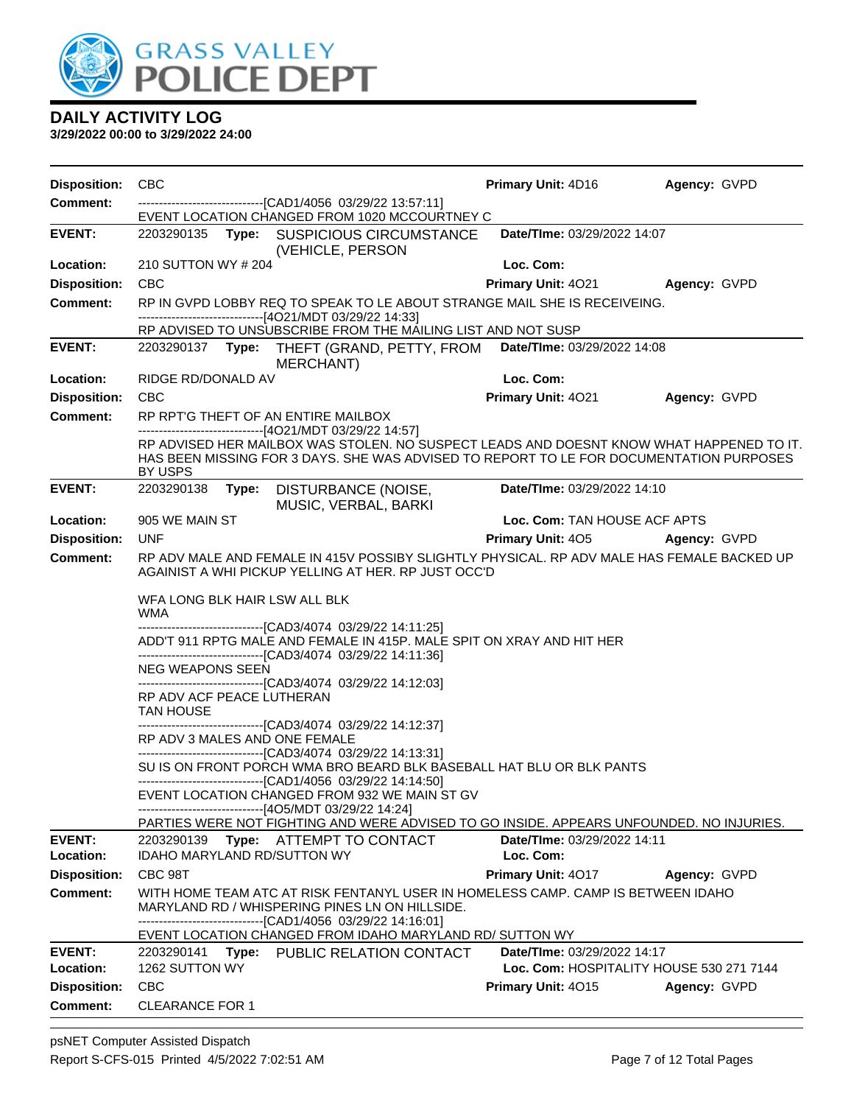

| <b>Disposition:</b> | <b>CBC</b>                                                                                                                                                                                     | <b>Primary Unit: 4D16</b>                | Agency: GVPD        |
|---------------------|------------------------------------------------------------------------------------------------------------------------------------------------------------------------------------------------|------------------------------------------|---------------------|
| <b>Comment:</b>     | -------------------------------[CAD1/4056 03/29/22 13:57:11]<br>EVENT LOCATION CHANGED FROM 1020 MCCOURTNEY C                                                                                  |                                          |                     |
| <b>EVENT:</b>       | 2203290135 Type: SUSPICIOUS CIRCUMSTANCE<br>(VEHICLE, PERSON                                                                                                                                   | Date/TIme: 03/29/2022 14:07              |                     |
| Location:           | 210 SUTTON WY # 204                                                                                                                                                                            | Loc. Com:                                |                     |
| <b>Disposition:</b> | <b>CBC</b>                                                                                                                                                                                     | Primary Unit: 4021                       | Agency: GVPD        |
| <b>Comment:</b>     | RP IN GVPD LOBBY REQ TO SPEAK TO LE ABOUT STRANGE MAIL SHE IS RECEIVEING.                                                                                                                      |                                          |                     |
|                     | ------------------------------[4O21/MDT 03/29/22 14:33]<br>RP ADVISED TO UNSUBSCRIBE FROM THE MAILING LIST AND NOT SUSP                                                                        |                                          |                     |
| <b>EVENT:</b>       | 2203290137 Type: THEFT (GRAND, PETTY, FROM<br>MERCHANT)                                                                                                                                        | Date/TIme: 03/29/2022 14:08              |                     |
| Location:           | RIDGE RD/DONALD AV                                                                                                                                                                             | Loc. Com:                                |                     |
| <b>Disposition:</b> | <b>CBC</b>                                                                                                                                                                                     | Primary Unit: 4021                       | <b>Agency: GVPD</b> |
| <b>Comment:</b>     | RP RPT'G THEFT OF AN ENTIRE MAILBOX<br>------------------------------[4O21/MDT 03/29/22 14:57]                                                                                                 |                                          |                     |
|                     | RP ADVISED HER MAILBOX WAS STOLEN. NO SUSPECT LEADS AND DOESNT KNOW WHAT HAPPENED TO IT.<br>HAS BEEN MISSING FOR 3 DAYS. SHE WAS ADVISED TO REPORT TO LE FOR DOCUMENTATION PURPOSES<br>BY USPS |                                          |                     |
| <b>EVENT:</b>       | 2203290138<br>Type: DISTURBANCE (NOISE,<br>MUSIC, VERBAL, BARKI                                                                                                                                | Date/TIme: 03/29/2022 14:10              |                     |
| Location:           | 905 WE MAIN ST                                                                                                                                                                                 | Loc. Com: TAN HOUSE ACF APTS             |                     |
| <b>Disposition:</b> | <b>UNF</b>                                                                                                                                                                                     | Primary Unit: 405 Agency: GVPD           |                     |
| Comment:            | RP ADV MALE AND FEMALE IN 415V POSSIBY SLIGHTLY PHYSICAL. RP ADV MALE HAS FEMALE BACKED UP<br>AGAINIST A WHI PICKUP YELLING AT HER. RP JUST OCC'D                                              |                                          |                     |
|                     | WFA LONG BLK HAIR LSW ALL BLK<br>WMA<br>-------------------------------[CAD3/4074 03/29/22 14:11:25]                                                                                           |                                          |                     |
|                     | ADD'T 911 RPTG MALE AND FEMALE IN 415P. MALE SPIT ON XRAY AND HIT HER<br>------------------------------[CAD3/4074 03/29/22 14:11:36]                                                           |                                          |                     |
|                     | <b>NEG WEAPONS SEEN</b><br>------------------------------[CAD3/4074 03/29/22 14:12:03]                                                                                                         |                                          |                     |
|                     | RP ADV ACF PEACE LUTHERAN<br><b>TAN HOUSE</b>                                                                                                                                                  |                                          |                     |
|                     | -------------------------------[CAD3/4074 03/29/22 14:12:37]<br>RP ADV 3 MALES AND ONE FEMALE<br>-------------------------------[CAD3/4074 03/29/22 14:13:31]                                  |                                          |                     |
|                     | SU IS ON FRONT PORCH WMA BRO BEARD BLK BASEBALL HAT BLU OR BLK PANTS<br>------------------------------[CAD1/4056 03/29/22 14:14:50]                                                            |                                          |                     |
|                     | EVENT LOCATION CHANGED FROM 932 WE MAIN ST GV<br>------------------------------[4O5/MDT 03/29/22 14:24]                                                                                        |                                          |                     |
|                     | PARTIES WERE NOT FIGHTING AND WERE ADVISED TO GO INSIDE. APPEARS UNFOUNDED. NO INJURIES.                                                                                                       |                                          |                     |
| <b>EVENT:</b>       | 2203290139 Type: ATTEMPT TO CONTACT                                                                                                                                                            | Date/TIme: 03/29/2022 14:11              |                     |
| Location:           | IDAHO MARYLAND RD/SUTTON WY                                                                                                                                                                    | Loc. Com:                                |                     |
| <b>Disposition:</b> | CBC 98T                                                                                                                                                                                        | Primary Unit: 4017                       | Agency: GVPD        |
| <b>Comment:</b>     | WITH HOME TEAM ATC AT RISK FENTANYL USER IN HOMELESS CAMP. CAMP IS BETWEEN IDAHO<br>MARYLAND RD / WHISPERING PINES LN ON HILLSIDE.<br>---------------------[CAD1/4056_03/29/22 14:16:01]       |                                          |                     |
|                     | EVENT LOCATION CHANGED FROM IDAHO MARYLAND RD/ SUTTON WY                                                                                                                                       |                                          |                     |
| <b>EVENT:</b>       | 2203290141<br>Type: PUBLIC RELATION CONTACT                                                                                                                                                    | Date/TIme: 03/29/2022 14:17              |                     |
| Location:           | 1262 SUTTON WY                                                                                                                                                                                 | Loc. Com: HOSPITALITY HOUSE 530 271 7144 |                     |
| <b>Disposition:</b> | <b>CBC</b>                                                                                                                                                                                     | <b>Primary Unit: 4015</b>                | Agency: GVPD        |
| <b>Comment:</b>     | <b>CLEARANCE FOR 1</b>                                                                                                                                                                         |                                          |                     |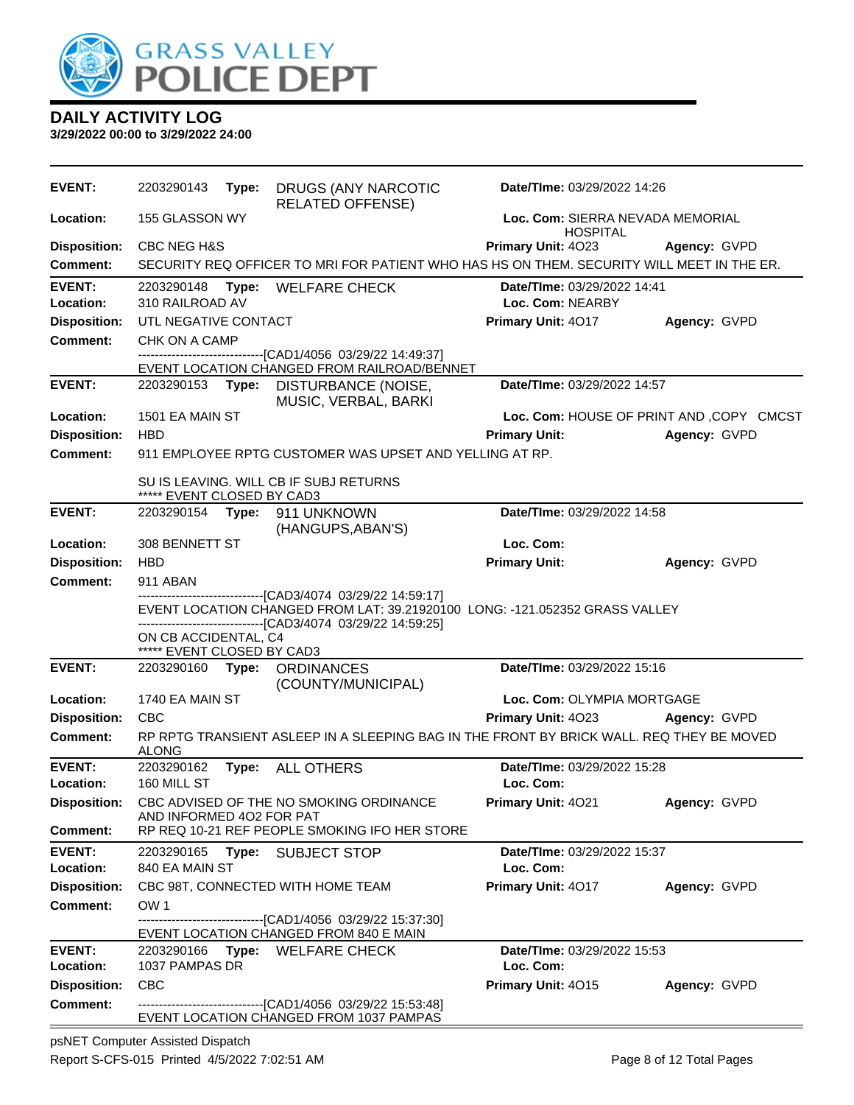

**3/29/2022 00:00 to 3/29/2022 24:00**

| <b>EVENT:</b>              | 2203290143                                         | Type: | DRUGS (ANY NARCOTIC<br><b>RELATED OFFENSE)</b>                                                                                       | Date/TIme: 03/29/2022 14:26                            |                                           |  |
|----------------------------|----------------------------------------------------|-------|--------------------------------------------------------------------------------------------------------------------------------------|--------------------------------------------------------|-------------------------------------------|--|
| Location:                  | 155 GLASSON WY                                     |       |                                                                                                                                      | Loc. Com: SIERRA NEVADA MEMORIAL<br><b>HOSPITAL</b>    |                                           |  |
| <b>Disposition:</b>        | <b>CBC NEG H&amp;S</b>                             |       |                                                                                                                                      | Primary Unit: 4023                                     | Agency: GVPD                              |  |
| <b>Comment:</b>            |                                                    |       | SECURITY REQ OFFICER TO MRI FOR PATIENT WHO HAS HS ON THEM. SECURITY WILL MEET IN THE ER.                                            |                                                        |                                           |  |
| <b>EVENT:</b><br>Location: | 310 RAILROAD AV                                    |       | 2203290148 Type: WELFARE CHECK                                                                                                       | <b>Date/Time: 03/29/2022 14:41</b><br>Loc. Com: NEARBY |                                           |  |
| <b>Disposition:</b>        | UTL NEGATIVE CONTACT                               |       |                                                                                                                                      | Primary Unit: 4017                                     | Agency: GVPD                              |  |
| <b>Comment:</b>            | CHK ON A CAMP                                      |       |                                                                                                                                      |                                                        |                                           |  |
|                            |                                                    |       | ----------------------------[CAD1/4056_03/29/22 14:49:37]<br>EVENT LOCATION CHANGED FROM RAILROAD/BENNET                             |                                                        |                                           |  |
| <b>EVENT:</b>              | 2203290153 Type:                                   |       | DISTURBANCE (NOISE,<br>MUSIC, VERBAL, BARKI                                                                                          | Date/TIme: 03/29/2022 14:57                            |                                           |  |
| Location:                  | 1501 EA MAIN ST                                    |       |                                                                                                                                      |                                                        | Loc. Com: HOUSE OF PRINT AND , COPY CMCST |  |
| <b>Disposition:</b>        | <b>HBD</b>                                         |       |                                                                                                                                      | <b>Primary Unit:</b>                                   | Agency: GVPD                              |  |
| <b>Comment:</b>            |                                                    |       | 911 EMPLOYEE RPTG CUSTOMER WAS UPSET AND YELLING AT RP.                                                                              |                                                        |                                           |  |
|                            | ***** EVENT CLOSED BY CAD3                         |       | SU IS LEAVING. WILL CB IF SUBJ RETURNS                                                                                               |                                                        |                                           |  |
| <b>EVENT:</b>              |                                                    |       | 2203290154 Type: 911 UNKNOWN<br>(HANGUPS, ABAN'S)                                                                                    | Date/TIme: 03/29/2022 14:58                            |                                           |  |
| Location:                  | 308 BENNETT ST                                     |       |                                                                                                                                      | Loc. Com:                                              |                                           |  |
| <b>Disposition:</b>        | <b>HBD</b>                                         |       |                                                                                                                                      | <b>Primary Unit:</b>                                   | Agency: GVPD                              |  |
| <b>Comment:</b>            | 911 ABAN                                           |       |                                                                                                                                      |                                                        |                                           |  |
|                            |                                                    |       | ------------------------[CAD3/4074_03/29/22 14:59:17]<br>EVENT LOCATION CHANGED FROM LAT: 39.21920100 LONG: -121.052352 GRASS VALLEY |                                                        |                                           |  |
|                            |                                                    |       | -------------------------------[CAD3/4074 03/29/22 14:59:25]                                                                         |                                                        |                                           |  |
|                            | ON CB ACCIDENTAL, C4<br>***** EVENT CLOSED BY CAD3 |       |                                                                                                                                      |                                                        |                                           |  |
| <b>EVENT:</b>              |                                                    |       | 2203290160 Type: ORDINANCES                                                                                                          | Date/TIme: 03/29/2022 15:16                            |                                           |  |
|                            |                                                    |       | (COUNTY/MUNICIPAL)                                                                                                                   |                                                        |                                           |  |
| Location:                  | 1740 EA MAIN ST                                    |       |                                                                                                                                      | Loc. Com: OLYMPIA MORTGAGE                             |                                           |  |
| <b>Disposition:</b>        | <b>CBC</b>                                         |       |                                                                                                                                      | Primary Unit: 4023                                     | Agency: GVPD                              |  |
| <b>Comment:</b>            | <b>ALONG</b>                                       |       | RP RPTG TRANSIENT ASLEEP IN A SLEEPING BAG IN THE FRONT BY BRICK WALL. REQ THEY BE MOVED                                             |                                                        |                                           |  |
| <b>EVENT:</b>              | 2203290162                                         |       | Type: ALL OTHERS                                                                                                                     | Date/TIme: 03/29/2022 15:28                            |                                           |  |
| Location:                  | 160 MILL ST                                        |       |                                                                                                                                      | Loc. Com:                                              |                                           |  |
| <b>Disposition:</b>        | AND INFORMED 402 FOR PAT                           |       | CBC ADVISED OF THE NO SMOKING ORDINANCE                                                                                              | Primary Unit: 4021                                     | Agency: GVPD                              |  |
| <b>Comment:</b>            |                                                    |       | RP REQ 10-21 REF PEOPLE SMOKING IFO HER STORE                                                                                        |                                                        |                                           |  |
| <b>EVENT:</b>              |                                                    |       | 2203290165 Type: SUBJECT STOP                                                                                                        | Date/TIme: 03/29/2022 15:37                            |                                           |  |
| Location:                  | 840 EA MAIN ST                                     |       |                                                                                                                                      | Loc. Com:                                              |                                           |  |
| <b>Disposition:</b>        |                                                    |       | CBC 98T, CONNECTED WITH HOME TEAM                                                                                                    | Primary Unit: 4017                                     | Agency: GVPD                              |  |
| Comment:                   | OW <sub>1</sub>                                    |       |                                                                                                                                      |                                                        |                                           |  |
|                            |                                                    |       | --------------------[CAD1/4056 03/29/22 15:37:30]<br>EVENT LOCATION CHANGED FROM 840 E MAIN                                          |                                                        |                                           |  |
| <b>EVENT:</b>              |                                                    |       | 2203290166 Type: WELFARE CHECK                                                                                                       | Date/TIme: 03/29/2022 15:53                            |                                           |  |
| Location:                  | 1037 PAMPAS DR                                     |       |                                                                                                                                      | Loc. Com:                                              |                                           |  |
| <b>Disposition:</b>        | <b>CBC</b>                                         |       |                                                                                                                                      | Primary Unit: 4015                                     | Agency: GVPD                              |  |
| <b>Comment:</b>            |                                                    |       | -------------------------------[CAD1/4056 03/29/22 15:53:48]<br>EVENT LOCATION CHANGED FROM 1037 PAMPAS                              |                                                        |                                           |  |

psNET Computer Assisted Dispatch Report S-CFS-015 Printed 4/5/2022 7:02:51 AM Page 8 of 12 Total Pages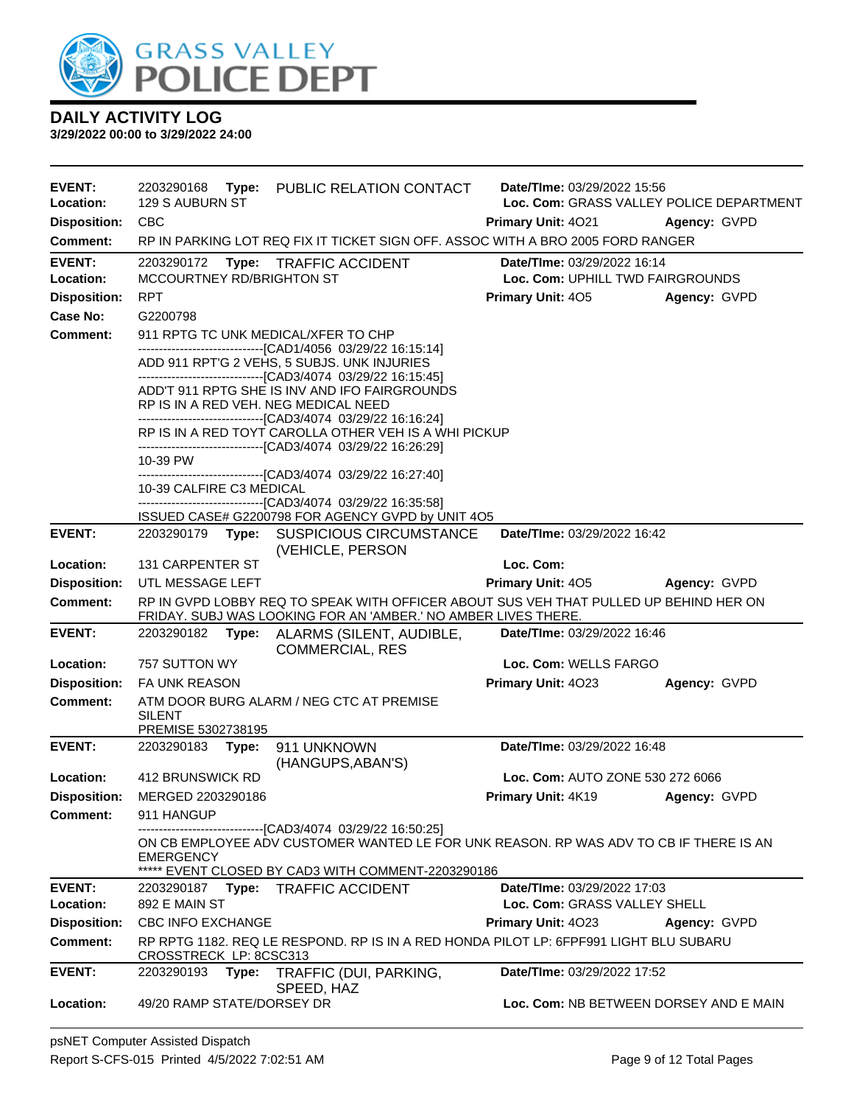

| <b>EVENT:</b><br>Location:      | 2203290168<br>129 S AUBURN ST              | Type: PUBLIC RELATION CONTACT                                                                                                                           | Date/TIme: 03/29/2022 15:56<br>Loc. Com: GRASS VALLEY POLICE DEPARTMENT |              |
|---------------------------------|--------------------------------------------|---------------------------------------------------------------------------------------------------------------------------------------------------------|-------------------------------------------------------------------------|--------------|
|                                 | <b>CBC</b>                                 |                                                                                                                                                         |                                                                         |              |
| <b>Disposition:</b><br>Comment: |                                            | RP IN PARKING LOT REQ FIX IT TICKET SIGN OFF. ASSOC WITH A BRO 2005 FORD RANGER                                                                         | <b>Primary Unit: 4021</b>                                               | Agency: GVPD |
|                                 |                                            |                                                                                                                                                         |                                                                         |              |
| <b>EVENT:</b><br>Location:      | 2203290172<br>MCCOURTNEY RD/BRIGHTON ST    | Type: TRAFFIC ACCIDENT                                                                                                                                  | Date/Time: 03/29/2022 16:14<br>Loc. Com: UPHILL TWD FAIRGROUNDS         |              |
| <b>Disposition:</b>             | <b>RPT</b>                                 |                                                                                                                                                         | <b>Primary Unit: 405</b>                                                | Agency: GVPD |
| Case No:                        | G2200798                                   |                                                                                                                                                         |                                                                         |              |
| Comment:                        | 911 RPTG TC UNK MEDICAL/XFER TO CHP        |                                                                                                                                                         |                                                                         |              |
|                                 |                                            | -------------------------------[CAD1/4056 03/29/22 16:15:14]<br>ADD 911 RPT'G 2 VEHS, 5 SUBJS. UNK INJURIES                                             |                                                                         |              |
|                                 | RP IS IN A RED VEH. NEG MEDICAL NEED       | ------------------------------[CAD3/4074 03/29/22 16:15:45]<br>ADD'T 911 RPTG SHE IS INV AND IFO FAIRGROUNDS                                            |                                                                         |              |
|                                 |                                            | ------------------------------[CAD3/4074_03/29/22 16:16:24]<br>RP IS IN A RED TOYT CAROLLA OTHER VEH IS A WHI PICKUP                                    |                                                                         |              |
|                                 | 10-39 PW                                   | ------------------------------[CAD3/4074 03/29/22 16:26:29]                                                                                             |                                                                         |              |
|                                 | 10-39 CALFIRE C3 MEDICAL                   | ----------------------[CAD3/4074_03/29/22 16:27:40]<br>-------------------------------[CAD3/4074_03/29/22 16:35:58]                                     |                                                                         |              |
|                                 |                                            | ISSUED CASE# G2200798 FOR AGENCY GVPD by UNIT 4O5                                                                                                       |                                                                         |              |
| <b>EVENT:</b>                   |                                            | 2203290179 Type: SUSPICIOUS CIRCUMSTANCE<br>(VEHICLE, PERSON                                                                                            | Date/TIme: 03/29/2022 16:42                                             |              |
| Location:                       | <b>131 CARPENTER ST</b>                    |                                                                                                                                                         | Loc. Com:                                                               |              |
| <b>Disposition:</b>             | UTL MESSAGE LEFT                           |                                                                                                                                                         | <b>Primary Unit: 405</b>                                                | Agency: GVPD |
| <b>Comment:</b>                 |                                            | RP IN GVPD LOBBY REQ TO SPEAK WITH OFFICER ABOUT SUS VEH THAT PULLED UP BEHIND HER ON<br>FRIDAY. SUBJ WAS LOOKING FOR AN 'AMBER.' NO AMBER LIVES THERE. |                                                                         |              |
| <b>EVENT:</b>                   | 2203290182                                 | Type: ALARMS (SILENT, AUDIBLE,<br><b>COMMERCIAL, RES</b>                                                                                                | Date/TIme: 03/29/2022 16:46                                             |              |
| Location:                       | 757 SUTTON WY                              |                                                                                                                                                         | Loc. Com: WELLS FARGO                                                   |              |
| <b>Disposition:</b>             | <b>FA UNK REASON</b>                       |                                                                                                                                                         | Primary Unit: 4023                                                      | Agency: GVPD |
| <b>Comment:</b>                 | <b>SILENT</b><br>PREMISE 5302738195        | ATM DOOR BURG ALARM / NEG CTC AT PREMISE                                                                                                                |                                                                         |              |
| <b>EVENT:</b>                   | 2203290183 Type:                           | 911 UNKNOWN<br>(HANGUPS, ABAN'S)                                                                                                                        | Date/TIme: 03/29/2022 16:48                                             |              |
| Location:                       | <b>412 BRUNSWICK RD</b>                    |                                                                                                                                                         | Loc. Com: AUTO ZONE 530 272 6066                                        |              |
| <b>Disposition:</b>             | MERGED 2203290186                          |                                                                                                                                                         | Primary Unit: 4K19                                                      | Agency: GVPD |
| <b>Comment:</b>                 | 911 HANGUP                                 |                                                                                                                                                         |                                                                         |              |
|                                 | <b>EMERGENCY</b>                           | --------------------------[CAD3/4074_03/29/22 16:50:25]<br>ON CB EMPLOYEE ADV CUSTOMER WANTED LE FOR UNK REASON. RP WAS ADV TO CB IF THERE IS AN        |                                                                         |              |
|                                 |                                            | ***** EVENT CLOSED BY CAD3 WITH COMMENT-2203290186                                                                                                      |                                                                         |              |
| <b>EVENT:</b><br>Location:      | 892 E MAIN ST                              | 2203290187 Type: TRAFFIC ACCIDENT                                                                                                                       | Date/TIme: 03/29/2022 17:03<br>Loc. Com: GRASS VALLEY SHELL             |              |
| <b>Disposition:</b>             | <b>CBC INFO EXCHANGE</b>                   |                                                                                                                                                         | <b>Primary Unit: 4023</b>                                               | Agency: GVPD |
| <b>Comment:</b>                 |                                            | RP RPTG 1182. REQ LE RESPOND. RP IS IN A RED HONDA PILOT LP: 6FPF991 LIGHT BLU SUBARU                                                                   |                                                                         |              |
|                                 |                                            |                                                                                                                                                         |                                                                         |              |
| <b>EVENT:</b>                   | CROSSTRECK LP: 8CSC313<br>2203290193 Type: | TRAFFIC (DUI, PARKING,                                                                                                                                  | Date/TIme: 03/29/2022 17:52                                             |              |
| Location:                       | 49/20 RAMP STATE/DORSEY DR                 | SPEED, HAZ                                                                                                                                              | Loc. Com: NB BETWEEN DORSEY AND E MAIN                                  |              |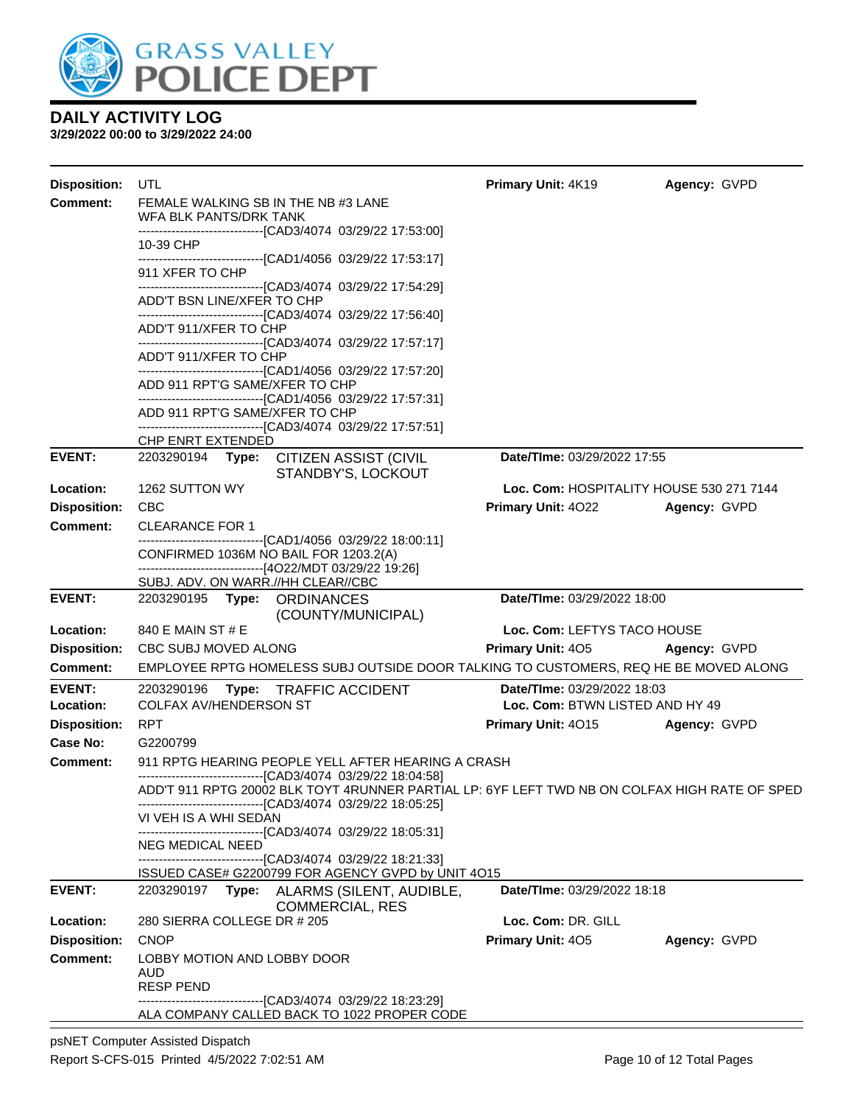

| <b>Disposition:</b>        | UTL                                                           |                                                                                                                                                                | Primary Unit: 4K19                                             | Agency: GVPD |
|----------------------------|---------------------------------------------------------------|----------------------------------------------------------------------------------------------------------------------------------------------------------------|----------------------------------------------------------------|--------------|
| <b>Comment:</b>            | FEMALE WALKING SB IN THE NB #3 LANE<br>WFA BLK PANTS/DRK TANK |                                                                                                                                                                |                                                                |              |
|                            |                                                               | --------------------------------[CAD3/4074_03/29/22 17:53:00]                                                                                                  |                                                                |              |
|                            | 10-39 CHP                                                     | -------------------------------[CAD1/4056_03/29/22 17:53:17]                                                                                                   |                                                                |              |
|                            | 911 XFER TO CHP                                               | ------------------------------[CAD3/4074_03/29/22 17:54:29]                                                                                                    |                                                                |              |
|                            | ADD'T BSN LINE/XFER TO CHP                                    |                                                                                                                                                                |                                                                |              |
|                            | ADD'T 911/XFER TO CHP                                         | ------------------------------[CAD3/4074_03/29/22 17:56:40]                                                                                                    |                                                                |              |
|                            | ADD'T 911/XFER TO CHP                                         | ------------------------------[CAD3/4074_03/29/22 17:57:17]                                                                                                    |                                                                |              |
|                            |                                                               | -------------------------------[CAD1/4056_03/29/22_17:57:20]                                                                                                   |                                                                |              |
|                            | ADD 911 RPT'G SAME/XFER TO CHP                                | -------------------------------[CAD1/4056_03/29/22 17:57:31]                                                                                                   |                                                                |              |
|                            | ADD 911 RPT'G SAME/XFER TO CHP                                |                                                                                                                                                                |                                                                |              |
|                            | CHP ENRT EXTENDED                                             | ------------------------------[CAD3/4074_03/29/22 17:57:51]                                                                                                    |                                                                |              |
| <b>EVENT:</b>              |                                                               | 2203290194 Type: CITIZEN ASSIST (CIVIL<br>STANDBY'S, LOCKOUT                                                                                                   | Date/TIme: 03/29/2022 17:55                                    |              |
| Location:                  | 1262 SUTTON WY                                                |                                                                                                                                                                | Loc. Com: HOSPITALITY HOUSE 530 271 7144                       |              |
| <b>Disposition:</b>        | <b>CBC</b>                                                    |                                                                                                                                                                | <b>Primary Unit: 4022</b>                                      | Agency: GVPD |
| <b>Comment:</b>            | <b>CLEARANCE FOR 1</b>                                        |                                                                                                                                                                |                                                                |              |
|                            | CONFIRMED 1036M NO BAIL FOR 1203.2(A)                         | -------------------------------[CAD1/4056 03/29/22 18:00:11]<br>-------------------------------[4O22/MDT 03/29/22 19:26]                                       |                                                                |              |
|                            | SUBJ. ADV. ON WARR.//HH CLEAR//CBC                            |                                                                                                                                                                |                                                                |              |
| <b>EVENT:</b>              | 2203290195 Type: ORDINANCES                                   | (COUNTY/MUNICIPAL)                                                                                                                                             | Date/TIme: 03/29/2022 18:00                                    |              |
| Location:                  | 840 E MAIN ST # E                                             |                                                                                                                                                                | Loc. Com: LEFTYS TACO HOUSE                                    |              |
| <b>Disposition:</b>        | CBC SUBJ MOVED ALONG                                          |                                                                                                                                                                | <b>Primary Unit: 405</b>                                       | Agency: GVPD |
| Comment:                   |                                                               | EMPLOYEE RPTG HOMELESS SUBJ OUTSIDE DOOR TALKING TO CUSTOMERS, REQ HE BE MOVED ALONG                                                                           |                                                                |              |
| <b>EVENT:</b><br>Location: | 2203290196<br><b>COLFAX AV/HENDERSON ST</b>                   | Type: TRAFFIC ACCIDENT                                                                                                                                         | Date/TIme: 03/29/2022 18:03<br>Loc. Com: BTWN LISTED AND HY 49 |              |
| <b>Disposition:</b>        | <b>RPT</b>                                                    |                                                                                                                                                                | <b>Primary Unit: 4015</b>                                      | Agency: GVPD |
| Case No:                   | G2200799                                                      |                                                                                                                                                                |                                                                |              |
| Comment:                   |                                                               | 911 RPTG HEARING PEOPLE YELL AFTER HEARING A CRASH                                                                                                             |                                                                |              |
|                            |                                                               | --------------------------------[CAD3/4074_03/29/22_18:04:58]<br>ADD'T 911 RPTG 20002 BLK TOYT 4RUNNER PARTIAL LP: 6YF LEFT TWD NB ON COLFAX HIGH RATE OF SPED |                                                                |              |
|                            | VI VEH IS A WHI SEDAN                                         | -------------------------------[CAD3/4074_03/29/22 18:05:25]<br>---------------------------[CAD3/4074 03/29/22 18:05:31]                                       |                                                                |              |
|                            | NEG MEDICAL NEED                                              |                                                                                                                                                                |                                                                |              |
|                            |                                                               | -------------------------------[CAD3/4074_03/29/22 18:21:33]<br>ISSUED CASE# G2200799 FOR AGENCY GVPD by UNIT 4O15                                             |                                                                |              |
| <b>EVENT:</b>              |                                                               | 2203290197 Type: ALARMS (SILENT, AUDIBLE,<br><b>COMMERCIAL, RES</b>                                                                                            | Date/TIme: 03/29/2022 18:18                                    |              |
| Location:                  | 280 SIERRA COLLEGE DR # 205                                   |                                                                                                                                                                | Loc. Com: DR. GILL                                             |              |
| <b>Disposition:</b>        | <b>CNOP</b>                                                   |                                                                                                                                                                | Primary Unit: 405                                              | Agency: GVPD |
| <b>Comment:</b>            | LOBBY MOTION AND LOBBY DOOR<br>AUD                            |                                                                                                                                                                |                                                                |              |
|                            | <b>RESP PEND</b>                                              |                                                                                                                                                                |                                                                |              |
|                            |                                                               | ---------------------------[CAD3/4074_03/29/22 18:23:29]<br>ALA COMPANY CALLED BACK TO 1022 PROPER CODE                                                        |                                                                |              |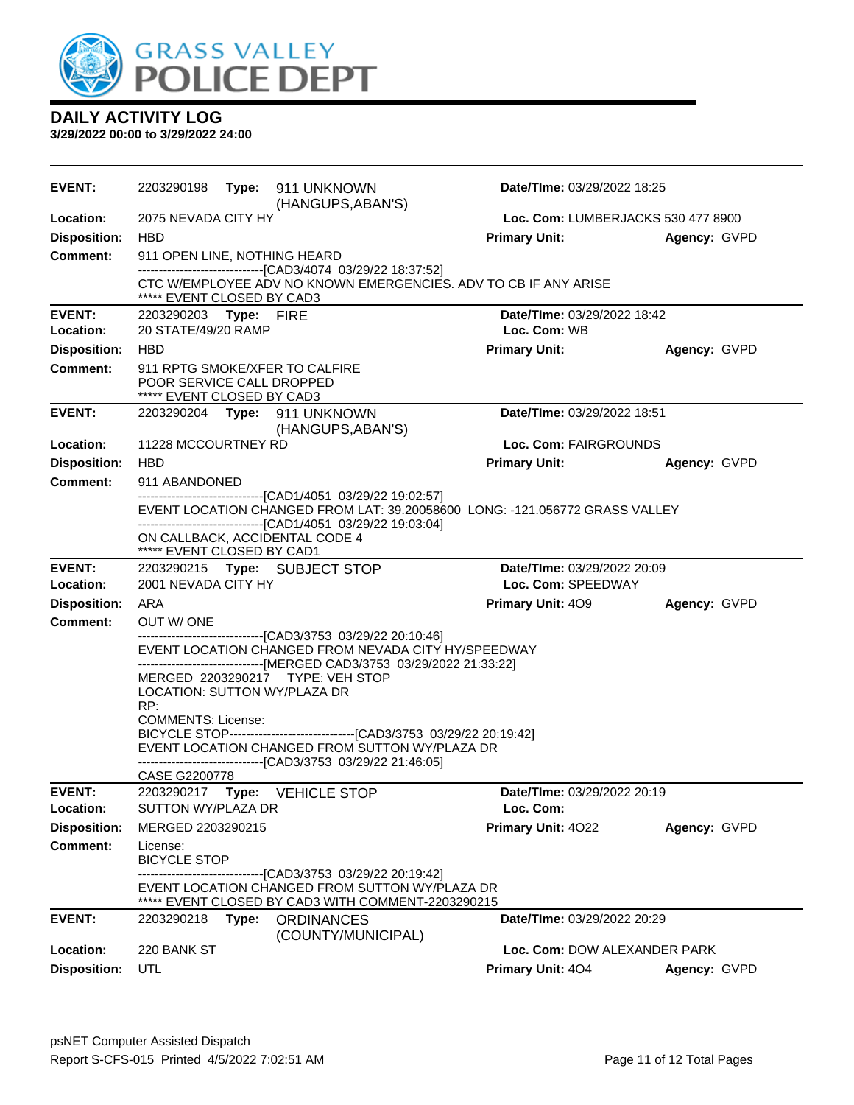

| <b>EVENT:</b>              |                                                         |       | (HANGUPS, ABAN'S)                                                                                                                                                                                           | Date/TIme: 03/29/2022 18:25              |                                    |  |
|----------------------------|---------------------------------------------------------|-------|-------------------------------------------------------------------------------------------------------------------------------------------------------------------------------------------------------------|------------------------------------------|------------------------------------|--|
| Location:                  | 2075 NEVADA CITY HY                                     |       |                                                                                                                                                                                                             |                                          | Loc. Com: LUMBERJACKS 530 477 8900 |  |
| <b>Disposition:</b>        | HBD                                                     |       |                                                                                                                                                                                                             | <b>Primary Unit:</b>                     | Agency: GVPD                       |  |
| <b>Comment:</b>            | 911 OPEN LINE, NOTHING HEARD                            |       |                                                                                                                                                                                                             |                                          |                                    |  |
|                            | ***** EVENT CLOSED BY CAD3                              |       | -------------------------------[CAD3/4074 03/29/22 18:37:52]<br>CTC W/EMPLOYEE ADV NO KNOWN EMERGENCIES. ADV TO CB IF ANY ARISE                                                                             |                                          |                                    |  |
| <b>EVENT:</b>              | 2203290203 Type: FIRE                                   |       |                                                                                                                                                                                                             | Date/TIme: 03/29/2022 18:42              |                                    |  |
| Location:                  | 20 STATE/49/20 RAMP                                     |       |                                                                                                                                                                                                             | Loc. Com: WB                             |                                    |  |
| <b>Disposition:</b>        | <b>HBD</b>                                              |       |                                                                                                                                                                                                             | <b>Primary Unit:</b>                     | Agency: GVPD                       |  |
| <b>Comment:</b>            | POOR SERVICE CALL DROPPED<br>***** EVENT CLOSED BY CAD3 |       | 911 RPTG SMOKE/XFER TO CALFIRE                                                                                                                                                                              |                                          |                                    |  |
| <b>EVENT:</b>              |                                                         |       | 2203290204    Type: 911    UNKNOWN<br>(HANGUPS, ABAN'S)                                                                                                                                                     | Date/TIme: 03/29/2022 18:51              |                                    |  |
| Location:                  | 11228 MCCOURTNEY RD                                     |       |                                                                                                                                                                                                             | Loc. Com: FAIRGROUNDS                    |                                    |  |
| <b>Disposition:</b>        | <b>HBD</b>                                              |       |                                                                                                                                                                                                             | <b>Primary Unit:</b>                     | Agency: GVPD                       |  |
| <b>Comment:</b>            | 911 ABANDONED                                           |       |                                                                                                                                                                                                             |                                          |                                    |  |
|                            |                                                         |       | -------------------------------[CAD1/4051 03/29/22 19:02:57]<br>EVENT LOCATION CHANGED FROM LAT: 39.20058600 LONG: -121.056772 GRASS VALLEY<br>-------------------------------[CAD1/4051 03/29/22 19:03:04] |                                          |                                    |  |
|                            | ***** EVENT CLOSED BY CAD1                              |       | ON CALLBACK, ACCIDENTAL CODE 4                                                                                                                                                                              |                                          |                                    |  |
| <b>EVENT:</b>              |                                                         |       | 2203290215 Type: SUBJECT STOP                                                                                                                                                                               | Date/TIme: 03/29/2022 20:09              |                                    |  |
| Location:                  | 2001 NEVADA CITY HY                                     |       |                                                                                                                                                                                                             | Loc. Com: SPEEDWAY                       |                                    |  |
| <b>Disposition:</b>        | ARA                                                     |       |                                                                                                                                                                                                             | <b>Primary Unit: 409</b>                 | Agency: GVPD                       |  |
| Comment:                   | OUT W/ONE                                               |       | ---------------------------------[CAD3/3753 03/29/22 20:10:46]                                                                                                                                              |                                          |                                    |  |
|                            |                                                         |       | EVENT LOCATION CHANGED FROM NEVADA CITY HY/SPEEDWAY                                                                                                                                                         |                                          |                                    |  |
|                            |                                                         |       | -------------------------------[MERGED CAD3/3753 03/29/2022 21:33:22]                                                                                                                                       |                                          |                                    |  |
|                            | LOCATION: SUTTON WY/PLAZA DR                            |       | MERGED 2203290217 TYPE: VEH STOP                                                                                                                                                                            |                                          |                                    |  |
|                            | RP:                                                     |       |                                                                                                                                                                                                             |                                          |                                    |  |
|                            | <b>COMMENTS: License:</b>                               |       |                                                                                                                                                                                                             |                                          |                                    |  |
|                            |                                                         |       | BICYCLE STOP----------------------------------[CAD3/3753 03/29/22 20:19:42]<br>EVENT LOCATION CHANGED FROM SUTTON WY/PLAZA DR                                                                               |                                          |                                    |  |
|                            |                                                         |       | ---------------------------[CAD3/3753_03/29/22 21:46:05]                                                                                                                                                    |                                          |                                    |  |
|                            | CASE G2200778                                           |       |                                                                                                                                                                                                             |                                          |                                    |  |
| <b>EVENT:</b><br>Location: | 2203290217<br>SUTTON WY/PLAZA DR                        | Type: | <b>VEHICLE STOP</b>                                                                                                                                                                                         | Date/TIme: 03/29/2022 20:19<br>Loc. Com: |                                    |  |
| <b>Disposition:</b>        | MERGED 2203290215                                       |       |                                                                                                                                                                                                             | Primary Unit: 4022                       | Agency: GVPD                       |  |
| <b>Comment:</b>            | License:                                                |       |                                                                                                                                                                                                             |                                          |                                    |  |
|                            | <b>BICYCLE STOP</b>                                     |       | --------------------------[CAD3/3753_03/29/22_20:19:42]                                                                                                                                                     |                                          |                                    |  |
|                            |                                                         |       | EVENT LOCATION CHANGED FROM SUTTON WY/PLAZA DR<br>EVENT CLOSED BY CAD3 WITH COMMENT-2203290215                                                                                                              |                                          |                                    |  |
| <b>EVENT:</b>              | 2203290218                                              | Type: | <b>ORDINANCES</b><br>(COUNTY/MUNICIPAL)                                                                                                                                                                     | Date/TIme: 03/29/2022 20:29              |                                    |  |
| Location:                  | 220 BANK ST                                             |       |                                                                                                                                                                                                             | Loc. Com: DOW ALEXANDER PARK             |                                    |  |
| <b>Disposition:</b>        | UTL                                                     |       |                                                                                                                                                                                                             | Primary Unit: 404                        | Agency: GVPD                       |  |